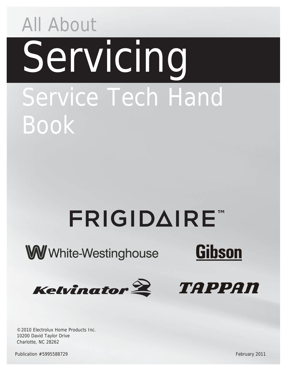# All About Servicing Service Tech Hand Book

# **FRIGID∆IRE™**

# **WW** White-Westinghouse



TAPPAN



©2010 Electrolux Home Products Inc. 10200 David Taylor Drive Charlotte, NC 28262

Publication #5995588729 February 2011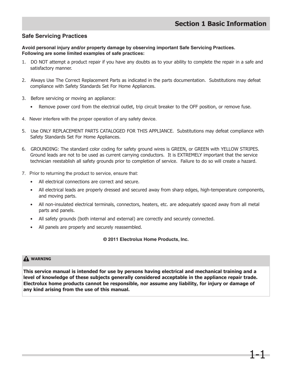## **Section 1 Basic Information**

1-1

#### **Safe Servicing Practices**

#### **Avoid personal injury and/or property damage by observing important Safe Servicing Practices. Following are some limited examples of safe practices:**

- 1. DO NOT attempt a product repair if you have any doubts as to your ability to complete the repair in a safe and satisfactory manner.
- 2. Always Use The Correct Replacement Parts as indicated in the parts documentation. Substitutions may defeat compliance with Safety Standards Set For Home Appliances.
- 3. Before servicing or moving an appliance:
	- Remove power cord from the electrical outlet, trip circuit breaker to the OFF position, or remove fuse.
- 4. Never interfere with the proper operation of any safety device.
- 5. Use ONLY REPLACEMENT PARTS CATALOGED FOR THIS APPLIANCE. Substitutions may defeat compliance with Safety Standards Set For Home Appliances.
- 6. GROUNDING: The standard color coding for safety ground wires is GREEN, or GREEN with YELLOW STRIPES. Ground leads are not to be used as current carrying conductors. It is EXTREMELY important that the service technician reestablish all safety grounds prior to completion of service. Failure to do so will create a hazard.
- 7. Prior to returning the product to service, ensure that:
	- All electrical connections are correct and secure.
	- All electrical leads are properly dressed and secured away from sharp edges, high-temperature components, and moving parts.
	- All non-insulated electrical terminals, connectors, heaters, etc. are adequately spaced away from all metal parts and panels.
	- All safety grounds (both internal and external) are correctly and securely connected.
	- All panels are properly and securely reassembled.

#### **© 2011 Electrolux Home Products, Inc.**

#### **WARNING**

**This service manual is intended for use by persons having electrical and mechanical training and a level of knowledge of these subjects generally considered acceptable in the appliance repair trade. Electrolux home products cannot be responsible, nor assume any liability, for injury or damage of any kind arising from the use of this manual.**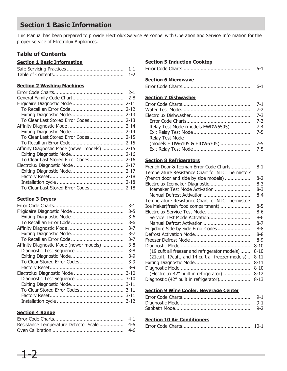## **Section 1 Basic Information**

This Manual has been prepared to provide Electrolux Service Personnel with Operation and Service Information for the proper service of Electrolux Appliances.

#### **Table of Contents**

#### **Section 1 Basic Information**

| $1 - 1$ |
|---------|
| $1 - 2$ |

#### **Section 2 Washing Machines**

|                                         | $2 - 1$  |
|-----------------------------------------|----------|
|                                         | - 2-8    |
|                                         |          |
|                                         |          |
|                                         | $2 - 13$ |
| To Clear Last Stored Error Codes        | $2 - 13$ |
|                                         | $2 - 14$ |
|                                         | $2 - 14$ |
| To Clear Last Stored Error Codes        | $2 - 15$ |
|                                         | $2 - 15$ |
| Affinity Diagnostic Mode (newer models) | $2 - 15$ |
|                                         | $2 - 16$ |
|                                         |          |
|                                         |          |
|                                         |          |
|                                         |          |
|                                         | $2 - 18$ |
| To Clear Last Stored Error Codes 2-18   |          |

#### **Section 3 Dryers**

|                                         | $3 - 1$  |
|-----------------------------------------|----------|
|                                         | $3 - 5$  |
|                                         | 3-6      |
|                                         | 3-6      |
|                                         | $3 - 7$  |
|                                         | $3 - 7$  |
|                                         | $3 - 7$  |
| Affinity Diagnostic Mode (newer models) | $3 - 8$  |
|                                         | $3 - 8$  |
|                                         | $3 - 9$  |
| To Clear Stored Error Codes             | $3 - 9$  |
|                                         | $3-9$    |
|                                         | $3 - 10$ |
|                                         | $3 - 10$ |
|                                         | $3 - 11$ |
| To Clear Stored Error Codes             | $3 - 11$ |
|                                         | $3 - 11$ |
|                                         | $3 - 12$ |
|                                         |          |

#### **Section 4 Range**

 $-1-2$ 

#### **Section 5 Induction Cooktop**

|  | $5 - 1$ |
|--|---------|
|--|---------|

#### **Section 6 Microwave**

|--|--|

#### **Section 7 Dishwasher**

|                                        | $7 - 3$ |
|----------------------------------------|---------|
| Relay Test Mode (models EWDW6505)  7-4 |         |
|                                        |         |
| Relay Test Mode                        |         |
|                                        |         |
|                                        |         |
|                                        |         |

#### **Section 8 Refrigerators**

| French Door & Iceman Error Code Charts           | $8 - 1$  |
|--------------------------------------------------|----------|
| Temperature Resistance Chart for NTC Thermistors |          |
| (french door and side by side models)            | $8-2$    |
| Electrolux Icemaker Diagnostic                   | 8-3      |
| Icemaker Test Mode Activation                    | 8-3      |
|                                                  | 8-4      |
| Temperature Resistance Chart for NTC Thermistors |          |
| Ice Maker(fresh food compartment)                | 8-5      |
| Electrolux Service Test Mode                     | 8-6      |
| Service Test Mode Activation                     | 8-6      |
| Manual Defrost Activation                        | 8-7      |
| Frigidaire Side by Side Error Codes              | 8-8      |
|                                                  | 8-8      |
|                                                  | 8-9      |
|                                                  | $8 - 10$ |
| (19 cuft all freezer and refrigerator models)    | $8 - 10$ |
| (21cuft, 17cuft, and 14 cuft all freezer models) | $8 - 11$ |
|                                                  | $8 - 11$ |
|                                                  | $8 - 10$ |
| (Electrolux 42" built in refrigerator)           | $8 - 12$ |
| Diagnostic (42" built in refrigerator)           | $8 - 13$ |

#### **Section 9 Wine Cooler, Beverage Center**

#### **Section 10 Air Conditioners**

|--|--|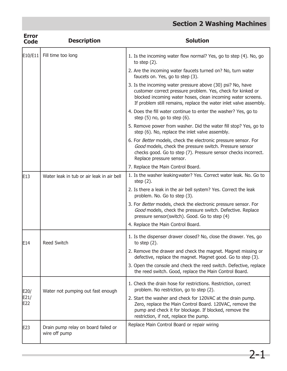| <b>Error</b><br><b>Code</b> | <b>Description</b>                                   | <b>Solution</b>                                                                                                                                                                                                                                               |
|-----------------------------|------------------------------------------------------|---------------------------------------------------------------------------------------------------------------------------------------------------------------------------------------------------------------------------------------------------------------|
| E10/E11                     | Fill time too long                                   | 1. Is the incoming water flow normal? Yes, go to step (4). No, go<br>to step $(2)$ .                                                                                                                                                                          |
|                             |                                                      | 2. Are the incoming water faucets turned on? No, turn water<br>faucets on. Yes, go to step (3).                                                                                                                                                               |
|                             |                                                      | 3. Is the incoming water pressure above (30) psi? No, have<br>customer correct pressure problem. Yes, check for kinked or<br>blocked incoming water hoses, clean incoming water screens.<br>If problem still remains, replace the water inlet valve assembly. |
|                             |                                                      | 4. Does the fill water continue to enter the washer? Yes, go to<br>step $(5)$ no, go to step $(6)$ .                                                                                                                                                          |
|                             |                                                      | 5. Remove power from washer. Did the water fill stop? Yes, go to<br>step (6). No, replace the inlet valve assembly.                                                                                                                                           |
|                             |                                                      | 6. For Better models, check the electronic pressure sensor. For<br>Good models, check the pressure switch. Pressure sensor<br>checks good. Go to step (7). Pressure sensor checks incorrect.<br>Replace pressure sensor.                                      |
|                             |                                                      | 7. Replace the Main Control Board.                                                                                                                                                                                                                            |
| E13                         | Water leak in tub or air leak in air bell            | 1. Is the washer leaking water? Yes. Correct water leak. No. Go to<br>step $(2)$ .                                                                                                                                                                            |
|                             |                                                      | 2. Is there a leak in the air bell system? Yes. Correct the leak<br>problem. No. Go to step (3).                                                                                                                                                              |
|                             |                                                      | 3. For Better models, check the electronic pressure sensor. For<br>Good models, check the pressure switch. Defective. Replace<br>pressure sensor(switch). Good. Go to step (4)                                                                                |
|                             |                                                      | 4. Replace the Main Control Board.                                                                                                                                                                                                                            |
| E14                         | <b>Reed Switch</b>                                   | 1. Is the dispenser drawer closed? No, close the drawer. Yes, go<br>to step $(2)$ .                                                                                                                                                                           |
|                             |                                                      | 2. Remove the drawer and check the magnet. Magnet missing or<br>defective, replace the magnet. Magnet good. Go to step (3).                                                                                                                                   |
|                             |                                                      | 3. Open the console and check the reed switch. Defective, replace<br>the reed switch. Good, replace the Main Control Board.                                                                                                                                   |
| E20/<br>E21/<br>E22         | Water not pumping out fast enough                    | 1. Check the drain hose for restrictions. Restriction, correct<br>problem. No restriction, go to step (2).                                                                                                                                                    |
|                             |                                                      | 2. Start the washer and check for 120VAC at the drain pump.<br>Zero, replace the Main Control Board. 120VAC, remove the<br>pump and check it for blockage. If blocked, remove the<br>restriction, if not, replace the pump.                                   |
| E23                         | Drain pump relay on board failed or<br>wire off pump | Replace Main Control Board or repair wiring                                                                                                                                                                                                                   |
|                             |                                                      |                                                                                                                                                                                                                                                               |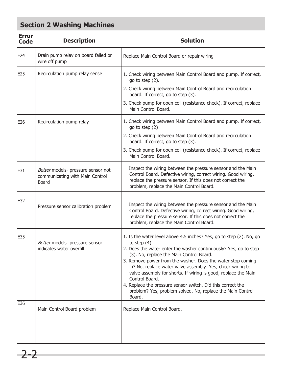| <b>Error</b><br><b>Code</b> | <b>Description</b>                                                                    | <b>Solution</b>                                                                                                                                                                                                                                                                                                                                                                                                                                                                                                                                                |
|-----------------------------|---------------------------------------------------------------------------------------|----------------------------------------------------------------------------------------------------------------------------------------------------------------------------------------------------------------------------------------------------------------------------------------------------------------------------------------------------------------------------------------------------------------------------------------------------------------------------------------------------------------------------------------------------------------|
| E24                         | Drain pump relay on board failed or<br>wire off pump                                  | Replace Main Control Board or repair wiring                                                                                                                                                                                                                                                                                                                                                                                                                                                                                                                    |
| E25                         | Recirculation pump relay sense                                                        | 1. Check wiring between Main Control Board and pump. If correct,<br>go to step $(2)$ .                                                                                                                                                                                                                                                                                                                                                                                                                                                                         |
|                             |                                                                                       | 2. Check wiring between Main Control Board and recirculation<br>board. If correct, go to step (3).                                                                                                                                                                                                                                                                                                                                                                                                                                                             |
|                             |                                                                                       | 3. Check pump for open coil (resistance check). If correct, replace<br>Main Control Board.                                                                                                                                                                                                                                                                                                                                                                                                                                                                     |
| E26                         | Recirculation pump relay                                                              | 1. Check wiring between Main Control Board and pump. If correct,<br>go to step $(2)$                                                                                                                                                                                                                                                                                                                                                                                                                                                                           |
|                             |                                                                                       | 2. Check wiring between Main Control Board and recirculation<br>board. If correct, go to step (3).                                                                                                                                                                                                                                                                                                                                                                                                                                                             |
|                             |                                                                                       | 3. Check pump for open coil (resistance check). If correct, replace<br>Main Control Board.                                                                                                                                                                                                                                                                                                                                                                                                                                                                     |
| E31                         | Better models- pressure sensor not<br>communicating with Main Control<br><b>Board</b> | Inspect the wiring between the pressure sensor and the Main<br>Control Board. Defective wiring, correct wiring. Good wiring,<br>replace the pressure sensor. If this does not correct the<br>problem, replace the Main Control Board.                                                                                                                                                                                                                                                                                                                          |
| E32                         | Pressure sensor calibration problem                                                   | Inspect the wiring between the pressure sensor and the Main<br>Control Board. Defective wiring, correct wiring. Good wiring,<br>replace the pressure sensor. If this does not correct the<br>problem, replace the Main Control Board.                                                                                                                                                                                                                                                                                                                          |
| E35                         | Better models- pressure sensor<br>indicates water overfill                            | 1. Is the water level above 4.5 inches? Yes, go to step (2). No, go<br>to step $(4)$ .<br>2. Does the water enter the washer continuously? Yes, go to step<br>(3). No, replace the Main Control Board.<br>3. Remove power from the washer. Does the water stop coming<br>in? No, replace water valve assembly. Yes, check wiring to<br>valve assembly for shorts. If wiring is good, replace the Main<br>Control Board.<br>4. Replace the pressure sensor switch. Did this correct the<br>problem? Yes, problem solved. No, replace the Main Control<br>Board. |
| E36                         | Main Control Board problem                                                            | Replace Main Control Board.                                                                                                                                                                                                                                                                                                                                                                                                                                                                                                                                    |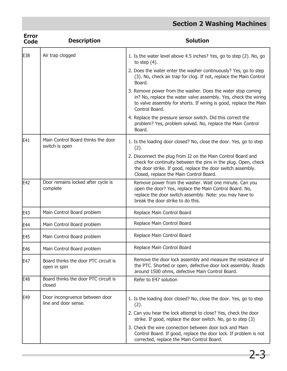| <b>Error</b><br><b>Code</b> | <b>Description</b>                                     | <b>Solution</b>                                                                                                                                                                                                                          |
|-----------------------------|--------------------------------------------------------|------------------------------------------------------------------------------------------------------------------------------------------------------------------------------------------------------------------------------------------|
| E38                         | Air trap clogged                                       | 1. Is the water level above 4.5 inches? Yes, go to step (2). No, go<br>to step $(4)$ .                                                                                                                                                   |
|                             |                                                        | 2. Does the water enter the washer continuously? Yes, go to step<br>(3). No, check air trap for clog. If not, replace the Main Control<br>Board.                                                                                         |
|                             |                                                        | 3. Remove power from the washer. Does the water stop coming<br>in? No, replace the water valve assembly. Yes, check the wiring<br>to valve assembly for shorts. If wiring is good, replace the Main<br>Control Board.                    |
|                             |                                                        | 4. Replace the pressure sensor switch. Did this correct the<br>problem? Yes, problem solved. No, replace the Main Control<br>Board.                                                                                                      |
| E41                         | Main Control Board thinks the door<br>switch is open   | 1. Is the loading door closed? No, close the door. Yes, go to step<br>(2).                                                                                                                                                               |
|                             |                                                        | 2. Disconnect the plug from J2 on the Main Control Board and<br>check for continuity between the pins in the plug. Open, check<br>the door strike. If good, replace the door switch assembly.<br>Closed, replace the Main Control Board. |
| E42                         | Door remains locked after cycle is<br>complete         | Remove power from the washer. Wait one minute. Can you<br>open the door? Yes, replace the Main Control Board. No,<br>replace the door switch assembly. Note: you may have to<br>break the door strike to do this.                        |
| E43                         | Main Control Board problem                             | Replace Main Control Board                                                                                                                                                                                                               |
| E44                         | Main Control Board problem                             | Replace Main Control Board                                                                                                                                                                                                               |
| E45                         | Main Control Board problem                             | Replace Main Control Board                                                                                                                                                                                                               |
| E46                         | Main Control Board problem                             | Replace Main Control Board                                                                                                                                                                                                               |
| E47                         | Board thinks the door PTC circuit is<br>open in spin   | Remove the door lock assembly and measure the resistance of<br>the PTC. Shorted or open, defective door lock assembly. Reads<br>around 1500 ohms, defective Main Control Board.                                                          |
| E48                         | Board thinks the door PTC circuit is<br>closed         | Refer to E47 solution                                                                                                                                                                                                                    |
| E49                         | Door incongruence between door<br>line and door sense. | 1. Is the loading door closed? No, close the door. Yes, go to step<br>(2).                                                                                                                                                               |
|                             |                                                        | 2. Can you hear the lock attempt to close? Yes, check the door<br>strike. If good, replace the door switch. No, go to step (3)                                                                                                           |
|                             |                                                        | 3. Check the wire connection between door lock and Main<br>Control Board. If good, replace the door lock. If problem is not<br>corrected, replace the Main Control Board.                                                                |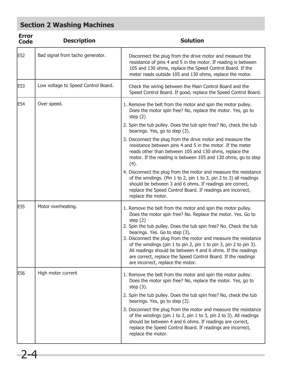| <b>Error</b><br><b>Code</b> | <b>Description</b>                  | <b>Solution</b>                                                                                                                                                                                                                                                                                                                                                                                                                                                                                                                                                 |
|-----------------------------|-------------------------------------|-----------------------------------------------------------------------------------------------------------------------------------------------------------------------------------------------------------------------------------------------------------------------------------------------------------------------------------------------------------------------------------------------------------------------------------------------------------------------------------------------------------------------------------------------------------------|
| E52                         | Bad signal from tacho generator.    | Disconnect the plug from the drive motor and measure the<br>resistance of pins 4 and 5 in the motor. If reading is between<br>105 and 130 ohms, replace the Speed Control Board. If the<br>meter reads outside 105 and 130 ohms, replace the motor.                                                                                                                                                                                                                                                                                                             |
| E53                         | Low voltage to Speed Control Board. | Check the wiring between the Main Control Board and the<br>Speed Control Board. If good, replace the Speed Control Board.                                                                                                                                                                                                                                                                                                                                                                                                                                       |
| E54                         | Over speed.                         | 1. Remove the belt from the motor and spin the motor pulley.<br>Does the motor spin free? No, replace the motor. Yes, go to<br>step $(2)$                                                                                                                                                                                                                                                                                                                                                                                                                       |
|                             |                                     | 2. Spin the tub pulley. Does the tub spin free? No, check the tub<br>bearings. Yes, go to step (3).                                                                                                                                                                                                                                                                                                                                                                                                                                                             |
|                             |                                     | 3. Disconnect the plug from the drive motor and measure the<br>resistance between pins 4 and 5 in the motor. If the meter<br>reads other than between 105 and 130 ohms, replace the<br>motor. If the reading is between 105 and 130 ohms, go to step<br>(4).                                                                                                                                                                                                                                                                                                    |
|                             |                                     | 4. Disconnect the plug from the motor and measure the resistance<br>of the windings. (Pin 1 to 2, pin 1 to 3, pin 2 to 3) all readings<br>should be between 3 and 6 ohms. If readings are correct,<br>replace the Speed Control Board. If readings are incorrect,<br>replace the motor.                                                                                                                                                                                                                                                                         |
| E55                         | Motor overheating.                  | 1. Remove the belt from the motor and spin the motor pulley.<br>Does the motor spin free? No. Replace the motor. Yes. Go to<br>step $(2)$<br>2. Spin the tub pulley. Does the tub spin free? No. Check the tub<br>bearings. Yes. Go to step (3).<br>3. Disconnect the plug from the motor and measure the resistance<br>of the windings (pin 1 to pin 2, pin 1 to pin 3, pin 2 to pin 3).<br>All readings should be between 4 and 6 ohms. If the readings<br>are correct, replace the Speed Control Board. If the readings<br>are incorrect, replace the motor. |
| E56                         | High motor current                  | 1. Remove the belt from the motor and spin the motor pulley.<br>Does the motor spin free? No, replace the motor. Yes, go to<br>step $(3)$ .<br>2. Spin the tub pulley. Does the tub spin free? No, check the tub                                                                                                                                                                                                                                                                                                                                                |
|                             |                                     | bearings. Yes, go to step (3).<br>3. Disconnect the plug from the motor and measure the resistance<br>of the windings (pin 1 to 2, pin 1 to 3, pin 2 to 3). All readings<br>should be between 4 and 6 ohms. If readings are correct,<br>replace the Speed Control Board. If readings are incorrect,<br>replace the motor.                                                                                                                                                                                                                                       |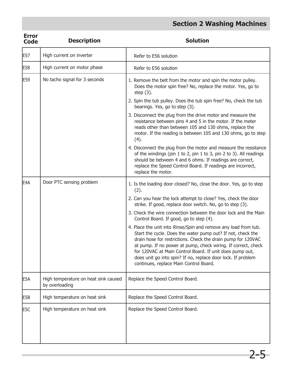| <b>Error</b><br><b>Code</b> | <b>Description</b>                                     | <b>Solution</b>                                                                                                                                                                                                                                                                                                                                                                                                                       |
|-----------------------------|--------------------------------------------------------|---------------------------------------------------------------------------------------------------------------------------------------------------------------------------------------------------------------------------------------------------------------------------------------------------------------------------------------------------------------------------------------------------------------------------------------|
| E57                         | High current on inverter                               | Refer to E56 solution                                                                                                                                                                                                                                                                                                                                                                                                                 |
| E58                         | High current on motor phase                            | Refer to E56 solution                                                                                                                                                                                                                                                                                                                                                                                                                 |
| E59                         | No tacho signal for 3 seconds                          | 1. Remove the belt from the motor and spin the motor pulley.<br>Does the motor spin free? No, replace the motor. Yes, go to<br>step $(3)$ .<br>2. Spin the tub pulley. Does the tub spin free? No, check the tub                                                                                                                                                                                                                      |
|                             |                                                        | bearings. Yes, go to step (3).                                                                                                                                                                                                                                                                                                                                                                                                        |
|                             |                                                        | 3. Disconnect the plug from the drive motor and measure the<br>resistance between pins 4 and 5 in the motor. If the meter<br>reads other than between 105 and 130 ohms, replace the<br>motor. If the reading is between 105 and 130 ohms, go to step<br>(4).                                                                                                                                                                          |
|                             |                                                        | 4. Disconnect the plug from the motor and measure the resistance<br>of the windings (pin 1 to 2, pin 1 to 3, pin 2 to 3). All readings<br>should be between 4 and 6 ohms. If readings are correct,<br>replace the Speed Control Board. If readings are incorrect,<br>replace the motor.                                                                                                                                               |
| E4A                         | Door PTC sensing problem                               | 1. Is the loading door closed? No, close the door. Yes, go to step<br>(2).                                                                                                                                                                                                                                                                                                                                                            |
|                             |                                                        | 2. Can you hear the lock attempt to close? Yes, check the door<br>strike. If good, replace door switch. No, go to step (3).                                                                                                                                                                                                                                                                                                           |
|                             |                                                        | 3. Check the wire connection between the door lock and the Main<br>Control Board. If good, go to step (4).                                                                                                                                                                                                                                                                                                                            |
|                             |                                                        | 4. Place the unit into Rinse/Spin and remove any load from tub.<br>Start the cycle. Does the water pump out? If not, check the<br>drain hose for restrictions. Check the drain pump for 120VAC<br>at pump. If no power at pump, check wiring. If correct, check<br>for 120VAC at Main Control Board. If unit does pump out,<br>does unit go into spin? If no, replace door lock. If problem<br>continues, replace Main Control Board. |
| E5A                         | High temperature on heat sink caused<br>by overloading | Replace the Speed Control Board.                                                                                                                                                                                                                                                                                                                                                                                                      |
| E5B                         | High temperature on heat sink                          | Replace the Speed Control Board.                                                                                                                                                                                                                                                                                                                                                                                                      |
| E5C                         | High temperature on heat sink                          | Replace the Speed Control Board.                                                                                                                                                                                                                                                                                                                                                                                                      |
|                             |                                                        |                                                                                                                                                                                                                                                                                                                                                                                                                                       |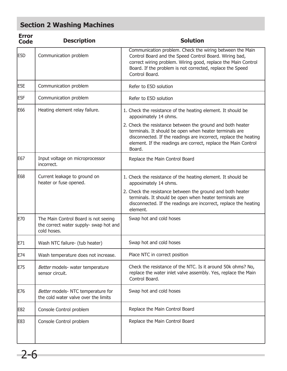| <b>Error</b><br><b>Code</b> | <b>Description</b>                                                                            | <b>Solution</b>                                                                                                                                                                                                                                                      |
|-----------------------------|-----------------------------------------------------------------------------------------------|----------------------------------------------------------------------------------------------------------------------------------------------------------------------------------------------------------------------------------------------------------------------|
| E <sub>5</sub> D            | Communication problem                                                                         | Communication problem. Check the wiring between the Main<br>Control Board and the Speed Control Board. Wiring bad,<br>correct wiring problem. Wiring good, replace the Main Control<br>Board. If the problem is not corrected, replace the Speed<br>Control Board.   |
| E5E                         | Communication problem                                                                         | Refer to E5D solution                                                                                                                                                                                                                                                |
| E5F                         | Communication problem                                                                         | Refer to E5D solution                                                                                                                                                                                                                                                |
| E66                         | Heating element relay failure.                                                                | 1. Check the resistance of the heating element. It should be<br>appoximately 14 ohms.                                                                                                                                                                                |
|                             |                                                                                               | 2. Check the resistance between the ground and both heater<br>terminals. It should be open when heater terminals are<br>disconnected. If the readings are incorrect, replace the heating<br>element. If the readings are correct, replace the Main Control<br>Board. |
| E67                         | Input voltage on microprocessor<br>incorrect.                                                 | Replace the Main Control Board                                                                                                                                                                                                                                       |
| E68                         | Current leakage to ground on<br>heater or fuse opened.                                        | 1. Check the resistance of the heating element. It should be<br>appoximately 14 ohms.                                                                                                                                                                                |
|                             |                                                                                               | 2. Check the resistance between the ground and both heater<br>terminals. It should be open when heater terminals are<br>disconnected. If the readings are incorrect, replace the heating<br>element.                                                                 |
| E70                         | The Main Control Board is not seeing<br>the correct water supply- swap hot and<br>cold hoses. | Swap hot and cold hoses                                                                                                                                                                                                                                              |
| E71                         | Wash NTC failure- (tub heater)                                                                | Swap hot and cold hoses                                                                                                                                                                                                                                              |
| E74                         | Wash temperature does not increase.                                                           | Place NTC in correct position                                                                                                                                                                                                                                        |
| E75                         | Better models- water temperature<br>sensor circuit.                                           | Check the resistance of the NTC. Is it around 50k ohms? No,<br>replace the water inlet valve assembly. Yes, replace the Main<br>Control Board.                                                                                                                       |
| E76                         | Better models- NTC temperature for<br>the cold water valve over the limits                    | Swap hot and cold hoses                                                                                                                                                                                                                                              |
| E82                         | Console Control problem                                                                       | Replace the Main Control Board                                                                                                                                                                                                                                       |
| E83                         | Console Control problem                                                                       | Replace the Main Control Board                                                                                                                                                                                                                                       |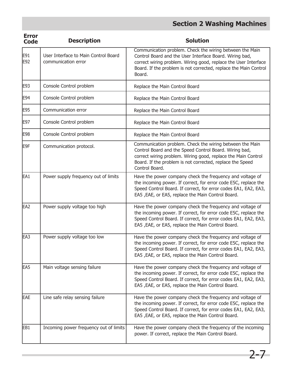| <b>Error</b><br><b>Code</b> | <b>Description</b>                                          | <b>Solution</b>                                                                                                                                                                                                                                                      |
|-----------------------------|-------------------------------------------------------------|----------------------------------------------------------------------------------------------------------------------------------------------------------------------------------------------------------------------------------------------------------------------|
| E91<br>E92                  | User Interface to Main Control Board<br>communication error | Communication problem. Check the wiring between the Main<br>Control Board and the User Interface Board. Wiring bad,<br>correct wiring problem. Wiring good, replace the User Interface<br>Board. If the problem is not corrected, replace the Main Control<br>Board. |
| E93                         | Console Control problem                                     | Replace the Main Control Board                                                                                                                                                                                                                                       |
| E94                         | Console Control problem                                     | Replace the Main Control Board                                                                                                                                                                                                                                       |
| E95                         | Communication error                                         | Replace the Main Control Board                                                                                                                                                                                                                                       |
| E97                         | Console Control problem                                     | Replace the Main Control Board                                                                                                                                                                                                                                       |
| E98                         | Console Control problem                                     | Replace the Main Control Board                                                                                                                                                                                                                                       |
| E9F                         | Communication protocol.                                     | Communication problem. Check the wiring between the Main<br>Control Board and the Speed Control Board. Wiring bad,<br>correct wiring problem. Wiring good, replace the Main Control<br>Board. If the problem is not corrected, replace the Speed<br>Control Board.   |
| EA1                         | Power supply frequency out of limits                        | Have the power company check the frequency and voltage of<br>the incoming power. If correct, for error code E5C, replace the<br>Speed Control Board. If correct, for error codes EA1, EA2, EA3,<br>EA5, EAE, or EA5, replace the Main Control Board.                 |
| EA <sub>2</sub>             | Power supply voltage too high                               | Have the power company check the frequency and voltage of<br>the incoming power. If correct, for error code E5C, replace the<br>Speed Control Board. If correct, for error codes EA1, EA2, EA3,<br>EA5, EAE, or EA5, replace the Main Control Board.                 |
| EA3                         | Power supply voltage too low                                | Have the power company check the frequency and voltage of<br>the incoming power. If correct, for error code E5C, replace the<br>Speed Control Board. If correct, for error codes EA1, EA2, EA3,<br>EA5 , EAE, or EA5, replace the Main Control Board.                |
| EA5                         | Main voltage sensing failure                                | Have the power company check the frequency and voltage of<br>the incoming power. If correct, for error code E5C, replace the<br>Speed Control Board. If correct, for error codes EA1, EA2, EA3,<br>EA5, EAE, or EA5, replace the Main Control Board.                 |
| EAE                         | Line safe relay sensing failure                             | Have the power company check the frequency and voltage of<br>the incoming power. If correct, for error code E5C, replace the<br>Speed Control Board. If correct, for error codes EA1, EA2, EA3,<br>EA5, EAE, or EA5, replace the Main Control Board.                 |
| EB1                         | Incoming power frequency out of limits                      | Have the power company check the frequency of the incoming<br>power. If correct, replace the Main Control Board.                                                                                                                                                     |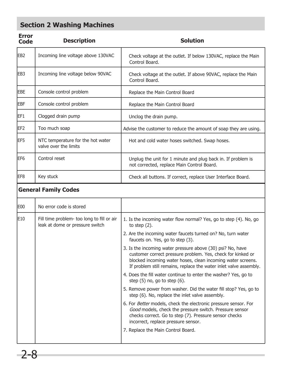| <b>Error</b><br><b>Code</b> | <b>Description</b>                                         | <b>Solution</b>                                                                                            |
|-----------------------------|------------------------------------------------------------|------------------------------------------------------------------------------------------------------------|
| EB <sub>2</sub>             | Incoming line voltage above 130VAC                         | Check voltage at the outlet. If below 130VAC, replace the Main<br>Control Board.                           |
| EB3                         | Incoming line voltage below 90VAC                          | Check voltage at the outlet. If above 90VAC, replace the Main<br>Control Board.                            |
| <b>EBE</b>                  | Console control problem                                    | Replace the Main Control Board                                                                             |
| <b>EBF</b>                  | Console control problem                                    | Replace the Main Control Board                                                                             |
| EF1                         | Clogged drain pump                                         | Unclog the drain pump.                                                                                     |
| EF <sub>2</sub>             | Too much soap                                              | Advise the customer to reduce the amount of soap they are using.                                           |
| EF <sub>5</sub>             | NTC temperature for the hot water<br>valve over the limits | Hot and cold water hoses switched. Swap hoses.                                                             |
| EF <sub>6</sub>             | Control reset                                              | Unplug the unit for 1 minute and plug back in. If problem is<br>not corrected, replace Main Control Board. |
| EF8                         | Key stuck                                                  | Check all buttons. If correct, replace User Interface Board.                                               |
|                             |                                                            |                                                                                                            |

# **General Family Codes**

| E <sub>00</sub> | No error code is stored                                                       |                                                                                                                                                                                                                                                               |
|-----------------|-------------------------------------------------------------------------------|---------------------------------------------------------------------------------------------------------------------------------------------------------------------------------------------------------------------------------------------------------------|
| E10             | Fill time problem- too long to fill or air<br>leak at dome or pressure switch | 1. Is the incoming water flow normal? Yes, go to step (4). No, go<br>to step $(2)$ .                                                                                                                                                                          |
|                 |                                                                               | 2. Are the incoming water faucets turned on? No, turn water<br>faucets on. Yes, go to step (3).                                                                                                                                                               |
|                 |                                                                               | 3. Is the incoming water pressure above (30) psi? No, have<br>customer correct pressure problem. Yes, check for kinked or<br>blocked incoming water hoses, clean incoming water screens.<br>If problem still remains, replace the water inlet valve assembly. |
|                 |                                                                               | 4. Does the fill water continue to enter the washer? Yes, go to<br>step $(5)$ no, go to step $(6)$ .                                                                                                                                                          |
|                 |                                                                               | 5. Remove power from washer. Did the water fill stop? Yes, go to<br>step (6). No, replace the inlet valve assembly.                                                                                                                                           |
|                 |                                                                               | 6. For Better models, check the electronic pressure sensor. For<br>Good models, check the pressure switch. Pressure sensor<br>checks correct. Go to step (7). Pressure sensor checks<br>incorrect, replace pressure sensor.                                   |
|                 |                                                                               | 7. Replace the Main Control Board.                                                                                                                                                                                                                            |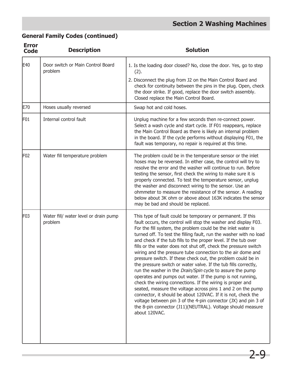# **General Family Codes (continued)**

| <b>Error</b><br><b>Code</b> | <b>Description</b>                               | <b>Solution</b>                                                                                                                                                                                                                                                                                                                                                                                                                                                                                                                                                                                                                                                                                                                                                                                                                                                                                                                                                                                                                                                                      |
|-----------------------------|--------------------------------------------------|--------------------------------------------------------------------------------------------------------------------------------------------------------------------------------------------------------------------------------------------------------------------------------------------------------------------------------------------------------------------------------------------------------------------------------------------------------------------------------------------------------------------------------------------------------------------------------------------------------------------------------------------------------------------------------------------------------------------------------------------------------------------------------------------------------------------------------------------------------------------------------------------------------------------------------------------------------------------------------------------------------------------------------------------------------------------------------------|
| E40                         | Door switch or Main Control Board<br>problem     | 1. Is the loading door closed? No, close the door. Yes, go to step<br>(2).                                                                                                                                                                                                                                                                                                                                                                                                                                                                                                                                                                                                                                                                                                                                                                                                                                                                                                                                                                                                           |
|                             |                                                  | 2. Disconnect the plug from J2 on the Main Control Board and<br>check for continuity between the pins in the plug. Open, check<br>the door strike. If good, replace the door switch assembly.<br>Closed replace the Main Control Board.                                                                                                                                                                                                                                                                                                                                                                                                                                                                                                                                                                                                                                                                                                                                                                                                                                              |
| E70                         | Hoses usually reversed                           | Swap hot and cold hoses.                                                                                                                                                                                                                                                                                                                                                                                                                                                                                                                                                                                                                                                                                                                                                                                                                                                                                                                                                                                                                                                             |
| F <sub>01</sub>             | Internal control fault                           | Unplug machine for a few seconds then re-connect power.<br>Select a wash cycle and start cycle. If F01 reappears, replace<br>the Main Control Board as there is likely an internal problem<br>in the board. If the cycle performs without displaying F01, the<br>fault was temporary, no repair is required at this time.                                                                                                                                                                                                                                                                                                                                                                                                                                                                                                                                                                                                                                                                                                                                                            |
| F <sub>02</sub>             | Water fill temperature problem                   | The problem could be in the temperature sensor or the inlet<br>hoses may be reversed. In either case, the control will try to<br>resolve the error and the washer will continue to run. Before<br>testing the sensor, first check the wiring to make sure it is<br>properly connected. To test the temperature sensor, unplug<br>the washer and disconnect wiring to the sensor. Use an<br>ohmmeter to measure the resistance of the sensor. A reading<br>below about 3K ohm or above about 163K indicates the sensor<br>may be bad and should be replaced.                                                                                                                                                                                                                                                                                                                                                                                                                                                                                                                          |
| F <sub>03</sub>             | Water fill/ water level or drain pump<br>problem | This type of fault could be temporary or permanent. If this<br>fault occurs, the control will stop the washer and display F03.<br>For the fill system, the problem could be the inlet water is<br>turned off. To test the filling fault, run the washer with no load<br>and check if the tub fills to the proper level. If the tub over<br>fills or the water does not shut off, check the pressure switch<br>wiring and the pressure tube connection to the air dome and<br>pressure switch. If these check out, the problem could be in<br>the pressure switch or water valve. If the tub fills correctly,<br>run the washer in the Drain/Spin cycle to assure the pump<br>operates and pumps out water. If the pump is not running,<br>check the wiring connections. If the wiring is proper and<br>seated, measure the voltage across pins 1 and 2 on the pump<br>connector, it should be about 120VAC. If it is not, check the<br>voltage between pin 3 of the 4-pin connector (JX) and pin 3 of<br>the 8-pin connector (J11)(NEUTRAL). Voltage should measure<br>about 120VAC. |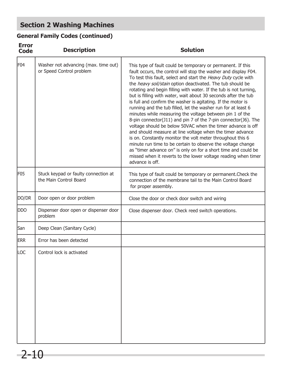# **General Family Codes (continued)**

| <b>Error</b><br><b>Code</b> | <b>Description</b>                                               | <b>Solution</b>                                                                                                                                                                                                                                                                                                                                                                                                                                                                                                                                                                                                                                                                                                                                                                                                                                                                                                                                                                                                                                                                      |
|-----------------------------|------------------------------------------------------------------|--------------------------------------------------------------------------------------------------------------------------------------------------------------------------------------------------------------------------------------------------------------------------------------------------------------------------------------------------------------------------------------------------------------------------------------------------------------------------------------------------------------------------------------------------------------------------------------------------------------------------------------------------------------------------------------------------------------------------------------------------------------------------------------------------------------------------------------------------------------------------------------------------------------------------------------------------------------------------------------------------------------------------------------------------------------------------------------|
| F <sub>04</sub>             | Washer not advancing (max. time out)<br>or Speed Control problem | This type of fault could be temporary or permanent. If this<br>fault occurs, the control will stop the washer and display F04.<br>To test this fault, select and start the Heavy Duty cycle with<br>the heavy soil/stain option deactivated. The tub should be<br>rotating and begin filling with water. If the tub is not turning,<br>but is filling with water, wait about 30 seconds after the tub<br>is full and confirm the washer is agitating. If the motor is<br>running and the tub filled, let the washer run for at least 6<br>minutes while measuring the voltage between pin 1 of the<br>8-pin connector(J11) and pin 7 of the 7-pin connector(J6). The<br>voltage should be below 50VAC when the timer advance is off<br>and should measure at line voltage when the timer advance<br>is on. Constantly monitor the volt meter throughout this 6<br>minute run time to be certain to observe the voltage change<br>as "timer advance on" is only on for a short time and could be<br>missed when it reverts to the lower voltage reading when timer<br>advance is off. |
| F <sub>05</sub>             | Stuck keypad or faulty connection at<br>the Main Control Board   | This type of fault could be temporary or permanent. Check the<br>connection of the membrane tail to the Main Control Board<br>for proper assembly.                                                                                                                                                                                                                                                                                                                                                                                                                                                                                                                                                                                                                                                                                                                                                                                                                                                                                                                                   |
| DO/DR                       | Door open or door problem                                        | Close the door or check door switch and wiring                                                                                                                                                                                                                                                                                                                                                                                                                                                                                                                                                                                                                                                                                                                                                                                                                                                                                                                                                                                                                                       |
| <b>DDO</b>                  | Dispenser door open or dispenser door<br>problem                 | Close dispenser door. Check reed switch operations.                                                                                                                                                                                                                                                                                                                                                                                                                                                                                                                                                                                                                                                                                                                                                                                                                                                                                                                                                                                                                                  |
| <b>San</b>                  | Deep Clean (Sanitary Cycle)                                      |                                                                                                                                                                                                                                                                                                                                                                                                                                                                                                                                                                                                                                                                                                                                                                                                                                                                                                                                                                                                                                                                                      |
| <b>ERR</b>                  | Error has been detected                                          |                                                                                                                                                                                                                                                                                                                                                                                                                                                                                                                                                                                                                                                                                                                                                                                                                                                                                                                                                                                                                                                                                      |
| <b>LOC</b>                  | Control lock is activated                                        |                                                                                                                                                                                                                                                                                                                                                                                                                                                                                                                                                                                                                                                                                                                                                                                                                                                                                                                                                                                                                                                                                      |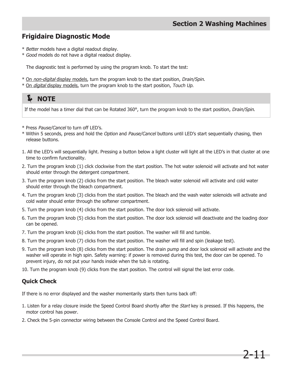# **Frigidaire Diagnostic Mode**

- \* Better models have a digital readout display.
- \* Good models do not have a digital readout display.

The diagnostic test is performed by using the program knob. To start the test:

- \* On non-digital display models, turn the program knob to the start position, Drain/Spin.
- \* On digital display models, turn the program knob to the start position, Touch Up.

# **NOTE**

If the model has a timer dial that can be Rotated 360°, turn the program knob to the start position, *Drain/Spin.* 

- \* Press Pause/Cancel to turn off LED's.
- \* Within 5 seconds, press and hold the Option and Pause/Cancel buttons until LED's start sequentially chasing, then release buttons.
- 1. All the LED's will sequentially light. Pressing a button below a light cluster will light all the LED's in that cluster at one time to confirm functionality.
- 2. Turn the program knob (1) click clockwise from the start position. The hot water solenoid will activate and hot water should enter through the detergent compartment.
- 3. Turn the program knob (2) clicks from the start position. The bleach water solenoid will activate and cold water should enter through the bleach compartment.
- 4. Turn the program knob (3) clicks from the start position. The bleach and the wash water solenoids will activate and cold water should enter through the softener compartment.
- 5. Turn the program knob (4) clicks from the start position. The door lock solenoid will activate.
- 6. Turn the program knob (5) clicks from the start position. The door lock solenoid will deactivate and the loading door can be opened.
- 7. Turn the program knob (6) clicks from the start position. The washer will fill and tumble.
- 8. Turn the program knob (7) clicks from the start position. The washer will fill and spin (leakage test).
- 9. Turn the program knob (8) clicks from the start position. The drain pump and door lock solenoid will activate and the washer will operate in high spin. Safety warning: if power is removed during this test, the door can be opened. To prevent injury, do not put your hands inside when the tub is rotating.
- 10. Turn the program knob (9) clicks from the start position. The control will signal the last error code.

#### **Quick Check**

If there is no error displayed and the washer momentarily starts then turns back off:

- 1. Listen for a relay closure inside the Speed Control Board shortly after the Start key is pressed. If this happens, the motor control has power.
- 2. Check the 5-pin connector wiring between the Console Control and the Speed Control Board.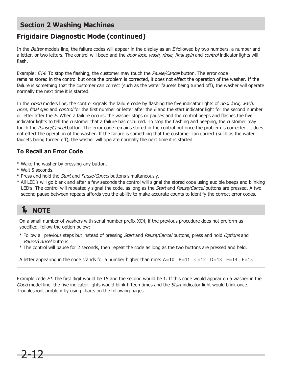# **Frigidaire Diagnostic Mode (continued)**

In the Better models line, the failure codes will appear in the display as an  $E$  followed by two numbers, a number and a letter, or two letters. The control will beep and the *door lock, wash, rinse, final spin* and *control* indicator lights will flash.

Example: E14. To stop the flashing, the customer may touch the Pause/Cancel button. The error code remains stored in the control but once the problem is corrected, it does not effect the operation of the washer. If the failure is something that the customer can correct (such as the water faucets being turned off), the washer will operate normally the next time it is started.

In the Good models line, the control signals the failure code by flashing the five indicator lights of door lock, wash, rinse, final spin and control for the first number or letter after the E and the start indicator light for the second number or letter after the E. When a failure occurs, the washer stops or pauses and the control beeps and flashes the five indicator lights to tell the customer that a failure has occurred. To stop the flashing and beeping, the customer may touch the Pause/Cancel button. The error code remains stored in the control but once the problem is corrected, it does not effect the operation of the washer. If the failure is something that the customer can correct (such as the water faucets being turned off), the washer will operate normally the next time it is started.

#### **To Recall an Error Code**

- \* Wake the washer by pressing any button.
- \* Wait 5 seconds.
- \* Press and hold the Start and Pause/Cancel buttons simultaneously.
- \* All LED's will go blank and after a few seconds the control will signal the stored code using audible beeps and blinking LED's. The control will repeatedly signal the code, as long as the *Start* and *Pause/Cancel* buttons are pressed. A two second pause between repeats affords you the ability to make accurate counts to identify the correct error codes.

# **NOTE**

On a small number of washers with serial number prefix XC4, if the previous procedure does not preform as specified, follow the option below:

- \* Follow all previous steps but instead of pressing Start and Pause/Cancel buttons, press and hold Options and Pause/Cancel buttons.
- \* The control will pause for 2 seconds, then repeat the code as long as the two buttons are pressed and held.

```
A letter appearing in the code stands for a number higher than nine: A=10 B=11 C=12 D=13 E=14 F=15
```
Example code F1: the first digit would be 15 and the second would be 1. If this code would appear on a washer in the Good model line, the five indicator lights would blink fifteen times and the Start indicator light would blink once. Troubleshoot problem by using charts on the following pages.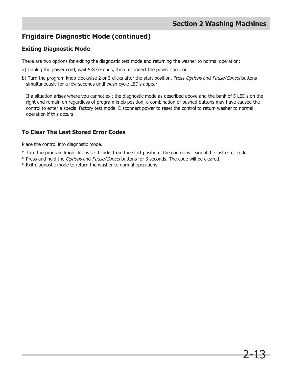$2 - 13$ 

## **Frigidaire Diagnostic Mode (continued)**

#### **Exiting Diagnostic Mode**

There are two options for exiting the diagnostic test mode and returning the washer to normal operation:

- a) Unplug the power cord, wait 5-8 seconds, then reconnect the power cord, or
- b) Turn the program knob clockwise 2 or 3 clicks after the start position. Press Options and Pause/Cancel buttons simultaneously for a few seconds until wash cycle LED's appear.

If a situation arises where you cannot exit the diagnostic mode as described above and the bank of 5 LED's on the right end remain on regardless of program knob position, a combination of pushed buttons may have caused the control to enter a special factory test mode. Disconnect power to reset the control to return washer to normal operation if this occurs.

#### **To Clear The Last Stored Error Codes**

Place the control into diagnostic mode.

- \* Turn the program knob clockwise 9 clicks from the start position. The control will signal the last error code.
- \* Press and hold the Options and Pause/Cancel buttons for 3 seconds. The code will be cleared.
- \* Exit diagnostic mode to return the washer to normal operations.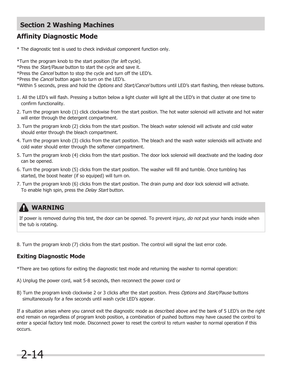# **Affinity Diagnostic Mode**

\* The diagnostic test is used to check individual component function only.

\*Turn the program knob to the start position (far left cycle).

\*Press the Start/Pause button to start the cycle and save it.

\*Press the Cancel button to stop the cycle and turn off the LED's.

\*Press the Cancel button again to turn on the LED's.

\*Within 5 seconds, press and hold the Options and Start/Cancel buttons until LED's start flashing, then release buttons.

- 1. All the LED's will flash. Pressing a button below a light cluster will light all the LED's in that cluster at one time to confirm functionality.
- 2. Turn the program knob (1) click clockwise from the start position. The hot water solenoid will activate and hot water will enter through the detergent compartment.
- 3. Turn the program knob (2) clicks from the start position. The bleach water solenoid will activate and cold water should enter through the bleach compartment.
- 4. Turn the program knob (3) clicks from the start position. The bleach and the wash water solenoids will activate and cold water should enter through the softener compartment.
- 5. Turn the program knob (4) clicks from the start position. The door lock solenoid will deactivate and the loading door can be opened.
- 6. Turn the program knob (5) clicks from the start position. The washer will fill and tumble. Once tumbling has started, the boost heater (if so equiped) will turn on.
- 7. Turn the program knob (6) clicks from the start position. The drain pump and door lock solenoid will activate. To enable high spin, press the *Delay Start* button.

# **WARNING**

If power is removed during this test, the door can be opened. To prevent injury, do not put your hands inside when the tub is rotating.

8. Turn the program knob (7) clicks from the start position. The control will signal the last error code.

#### **Exiting Diagnostic Mode**

 $-2 - 14$ 

\*There are two options for exiting the diagnostic test mode and returning the washer to normal operation:

A) Unplug the power cord, wait 5-8 seconds, then reconnect the power cord or

B) Turn the program knob clockwise 2 or 3 clicks after the start position. Press *Options* and *Start/Pause* buttons simultaneously for a few seconds until wash cycle LED's appear.

If a situation arises where you cannot exit the diagnostic mode as described above and the bank of 5 LED's on the right end remain on regardless of program knob position, a combination of pushed buttons may have caused the control to enter a special factory test mode. Disconnect power to reset the control to return washer to normal operation if this occurs.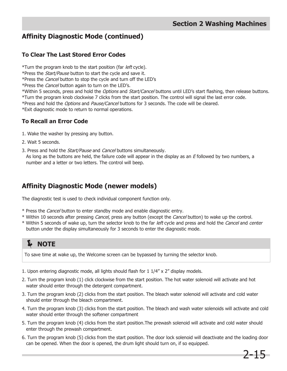# **Affinity Diagnostic Mode (continued)**

## **To Clear The Last Stored Error Codes**

\*Turn the program knob to the start position (far *left* cycle).

\*Press the Start/Pause button to start the cycle and save it.

\*Press the Cancel button to stop the cycle and turn off the LED's

\*Press the Cancel button again to turn on the LED's.

\*Within 5 seconds, press and hold the Options and Start/Cancel buttons until LED's start flashing, then release buttons. \*Turn the program knob clockwise 7 clicks from the start position. The control will signal the last error code.

\*Press and hold the Options and Pause/Cancel buttons for 3 seconds. The code will be cleared.

\*Exit diagnostic mode to return to normal operations.

#### **To Recall an Error Code**

- 1. Wake the washer by pressing any button.
- 2. Wait 5 seconds.
- 3. Press and hold the *Start/Pause* and *Cancel* buttons simultaneously. As long as the buttons are held, the failure code will appear in the display as an  $E$  followed by two numbers, a number and a letter or two letters. The control will beep.

# **Affinity Diagnostic Mode (newer models)**

The diagnostic test is used to check individual component function only.

- \* Press the Cancel button to enter standby mode and enable diagnostic entry.
- \* Within 10 seconds after pressing Cancel, press any button (except the Cancel button) to wake up the control.
- \* Within 5 seconds of wake up, turn the selector knob to the far left cycle and press and hold the Cancel and center button under the display simultaneously for 3 seconds to enter the diagnostic mode.

# **NOTE**

To save time at wake up, the Welcome screen can be bypassed by turning the selector knob.

- 1. Upon entering diagnostic mode, all lights should flash for 1 1/4" x 2" display models.
- 2. Turn the program knob (1) click clockwise from the start position. The hot water solenoid will activate and hot water should enter through the detergent compartment.
- 3. Turn the program knob (2) clicks from the start position. The bleach water solenoid will activate and cold water should enter through the bleach compartment.
- 4. Turn the program knob (3) clicks from the start position. The bleach and wash water solenoids will activate and cold water should enter through the softener compartment
- 5. Turn the program knob (4) clicks from the start position.The prewash solenoid will activate and cold water should enter through the prewash compartment.
- 6. Turn the program knob (5) clicks from the start position. The door lock solenoid will deactivate and the loading door can be opened. When the door is opened, the drum light should turn on, if so equipped.

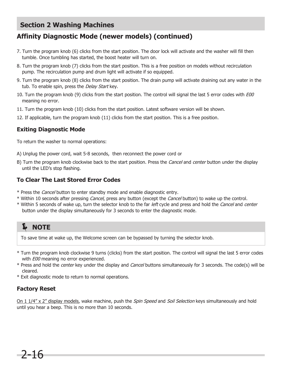# **Affinity Diagnostic Mode (newer models) (continued)**

- 7. Turn the program knob (6) clicks from the start position. The door lock will activate and the washer will fill then tumble. Once tumbling has started, the boost heater will turn on.
- 8. Turn the program knob (7) clicks from the start position. This is a free position on models without recirculation pump. The recirculation pump and drum light will activate if so equipped.
- 9. Turn the program knob (8) clicks from the start position. The drain pump will activate draining out any water in the tub. To enable spin, press the *Delay Start* key.
- 10. Turn the program knob (9) clicks from the start position. The control will signal the last 5 error codes with E00 meaning no error.
- 11. Turn the program knob (10) clicks from the start position. Latest software version will be shown.
- 12. If applicable, turn the program knob (11) clicks from the start position. This is a free position.

#### **Exiting Diagnostic Mode**

To return the washer to normal operations:

- A) Unplug the power cord, wait 5-8 seconds, then reconnect the power cord or
- B) Turn the program knob clockwise back to the start position. Press the Cancel and center button under the display until the LED's stop flashing.

#### **To Clear The Last Stored Error Codes**

- \* Press the Cancel button to enter standby mode and enable diagnostic entry.
- \* Within 10 seconds after pressing Cancel, press any button (except the Cancel button) to wake up the control.
- \* Within 5 seconds of wake up, turn the selector knob to the far left cycle and press and hold the Cancel and center button under the display simultaneously for 3 seconds to enter the diagnostic mode.

#### **NOTE**L

To save time at wake up, the Welcome screen can be bypassed by turning the selector knob.

- \* Turn the program knob clockwise 9 turns (clicks) from the start position. The control will signal the last 5 error codes with **E00** meaning no error experienced.
- \* Press and hold the *center* key under the display and *Cancel* buttons simultaneously for 3 seconds. The code(s) will be cleared.
- \* Exit diagnostic mode to return to normal operations.

#### **Factory Reset**

On 1 1/4" x 2" display models, wake machine, push the Spin Speed and Soil Selection keys simultaneously and hold until you hear a beep. This is no more than 10 seconds.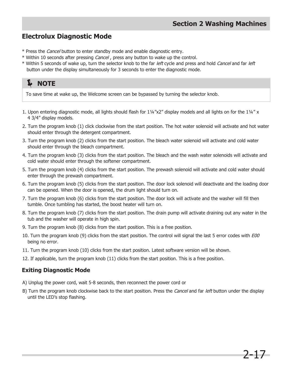$2 - 17$ 

## **Electrolux Diagnostic Mode**

- \* Press the Cancel button to enter standby mode and enable diagnostic entry.
- \* Within 10 seconds after pressing Cancel , press any button to wake up the control.
- \* Within 5 seconds of wake up, turn the selector knob to the far left cycle and press and hold Cancel and far left button under the display simultaneously for 3 seconds to enter the diagnostic mode.

#### $\boldsymbol{\varGamma}$ **NOTE**

To save time at wake up, the Welcome screen can be bypassed by turning the selector knob.

- 1. Upon entering diagnostic mode, all lights should flash for 1¼"x2" display models and all lights on for the 1¼" x 4 3/4" display models.
- 2. Turn the program knob (1) click clockwise from the start position. The hot water solenoid will activate and hot water should enter through the detergent compartment.
- 3. Turn the program knob (2) clicks from the start position. The bleach water solenoid will activate and cold water should enter through the bleach compartment.
- 4. Turn the program knob (3) clicks from the start position. The bleach and the wash water solenoids will activate and cold water should enter through the softener compartment.
- 5. Turn the program knob (4) clicks from the start position. The prewash solenoid will activate and cold water should enter through the prewash compartment.
- 6. Turn the program knob (5) clicks from the start position. The door lock solenoid will deactivate and the loading door can be opened. When the door is opened, the drum light should turn on.
- 7. Turn the program knob (6) clicks from the start position. The door lock will activate and the washer will fill then tumble. Once tumbling has started, the boost heater will turn on.
- 8. Turn the program knob (7) clicks from the start position. The drain pump will activate draining out any water in the tub and the washer will operate in high spin.
- 9. Turn the program knob (8) clicks from the start position. This is a free position.
- 10. Turn the program knob (9) clicks from the start position. The control will signal the last 5 error codes with E00 being no error.
- 11. Turn the program knob (10) clicks from the start position. Latest software version will be shown.
- 12. If applicable, turn the program knob (11) clicks from the start position. This is a free position.

#### **Exiting Diagnostic Mode**

- A) Unplug the power cord, wait 5-8 seconds, then reconnect the power cord or
- B) Turn the program knob clockwise back to the start position. Press the Cancel and far left button under the display until the LED's stop flashing.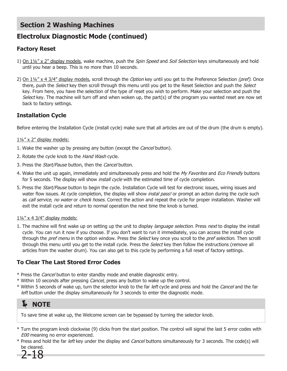# **Electrolux Diagnostic Mode (continued)**

#### **Factory Reset**

- 1) On 1¼" x 2" display models, wake machine, push the Spin Speed and Soil Selection keys simultaneously and hold until you hear a beep. This is no more than 10 seconds.
- 2) On 1¼" x 4 3/4" display models, scroll through the Option key until you get to the Preference Selection (pref). Once there, push the Select key then scroll through this menu until you get to the Reset Selection and push the Select key. From here, you have the selection of the type of reset you wish to perform. Make your selection and push the Select key. The machine will turn off and when woken up, the part(s) of the program you wanted reset are now set back to factory settings.

#### **Installation Cycle**

Before entering the Installation Cycle (install cycle) make sure that all articles are out of the drum (the drum is empty).

#### 1¼" x 2" display models:

- 1. Wake the washer up by pressing any button (except the *Cancel* button).
- 2. Rotate the cycle knob to the Hand Wash cycle.
- 3. Press the Start/Pause button, then the Cancel button.
- 4. Wake the unit up again, immediately and simultaneously press and hold the My Favorites and Eco Friendly buttons for 5 seconds. The display will show *install cycle* with the estimated time of cycle completion.
- 5. Press the *Start/Pause* button to begin the cycle. Installation Cycle will test for electronic issues, wiring issues and water flow issues. At cycle completion, the display will show *instal pass!* or prompt an action during the cycle such as call service, no water or check hoses. Correct the action and repeat the cycle for proper installation. Washer will exit the install cycle and return to normal operation the next time the knob is turned.

#### 1¼" x 4 3/4" display models:

1. The machine will first wake up on setting up the unit to display language selection. Press next to display the install cycle. You can run it now if you choose. If you don't want to run it immediately, you can access the install cycle through the pref menu in the option window. Press the Select key once you scroll to the pref selection. Then scrolll through this menu until you get to the install cycle. Press the Select key then follow the instructions (remove all articles from the washer drum). You can also get to this cycle by performing a full reset of factory settings.

#### **To Clear The Last Stored Error Codes**

- \* Press the Cancel button to enter standby mode and enable diagnostic entry.
- \* Within 10 seconds after pressing Cancel, press any button to wake up the control.
- \* Within 5 seconds of wake up, turn the selector knob to the far left cycle and press and hold the Cancel and the far left button under the display simultaneously for 3 seconds to enter the diagnostic mode.

# **NOTE**

2-18

To save time at wake up, the Welcome screen can be bypassed by turning the selector knob.

- \* Turn the program knob clockwise (9) clicks from the start position. The control will signal the last 5 error codes with E00 meaning no error experienced.
- \* Press and hold the far left key under the display and Cancel buttons simultaneously for 3 seconds. The code(s) will be cleared.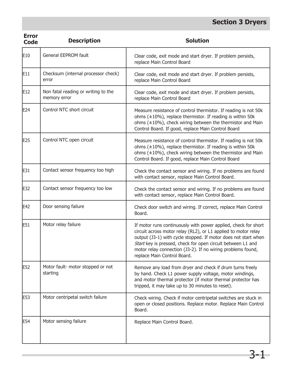| <b>Error</b><br><b>Code</b> | <b>Description</b>                                  | <b>Solution</b>                                                                                                                                                                                                                                                                                                                                                 |
|-----------------------------|-----------------------------------------------------|-----------------------------------------------------------------------------------------------------------------------------------------------------------------------------------------------------------------------------------------------------------------------------------------------------------------------------------------------------------------|
| E10                         | General EEPROM fault                                | Clear code, exit mode and start dryer. If problem persists,<br>replace Main Control Board                                                                                                                                                                                                                                                                       |
| E11                         | Checksum (internal processor check)<br>error        | Clear code, exit mode and start dryer. If problem persists,<br>replace Main Control Board                                                                                                                                                                                                                                                                       |
| E <sub>12</sub>             | Non fatal reading or writing to the<br>memory error | Clear code, exit mode and start dryer. If problem persists,<br>replace Main Control Board                                                                                                                                                                                                                                                                       |
| E24                         | Control NTC short circuit                           | Measure resistance of control thermistor. If reading is not 50k<br>ohms $(\pm 10\%)$ , replace thermistor. If reading is within 50k<br>ohms $(\pm 10\%)$ , check wiring between the thermistor and Main<br>Control Board. If good, replace Main Control Board                                                                                                   |
| E25                         | Control NTC open circuit                            | Measure resistance of control thermistor. If reading is not 50k<br>ohms $(\pm 10\%)$ , replace thermistor. If reading is within 50k<br>ohms $(\pm 10\%)$ , check wiring between the thermistor and Main<br>Control Board. If good, replace Main Control Board                                                                                                   |
| E31                         | Contact sensor frequency too high                   | Check the contact sensor and wiring. If no problems are found<br>with contact sensor, replace Main Control Board.                                                                                                                                                                                                                                               |
| E32                         | Contact sensor frequency too low                    | Check the contact sensor and wiring. If no problems are found<br>with contact sensor, replace Main Control Board.                                                                                                                                                                                                                                               |
| E42                         | Door sensing failure                                | Check door switch and wiring. If correct, replace Main Control<br>Board.                                                                                                                                                                                                                                                                                        |
| E51                         | Motor relay failure                                 | If motor runs continuously with power applied, check for short<br>circuit across motor relay (RL2), or L1 applied to motor relay<br>output (J3-1) with cycle stopped. If motor does not start when<br>Start key is pressed, check for open circuit between L1 and<br>motor relay connection (J3-2). If no wiring problems found,<br>replace Main Control Board. |
| E52                         | Motor fault- motor stopped or not<br>starting       | Remove any load from dryer and check if drum turns freely<br>by hand. Check L1 power supply voltage, motor windings,<br>and motor thermal protector (if motor thermal protector has<br>tripped, it may take up to 30 minutes to reset).                                                                                                                         |
| E53                         | Motor centripetal switch failure                    | Check wiring. Check if motor centripetal switches are stuck in<br>open or closed positions. Replace motor. Replace Main Control<br>Board.                                                                                                                                                                                                                       |
| E54                         | Motor sensing failure                               | Replace Main Control Board.                                                                                                                                                                                                                                                                                                                                     |
|                             |                                                     |                                                                                                                                                                                                                                                                                                                                                                 |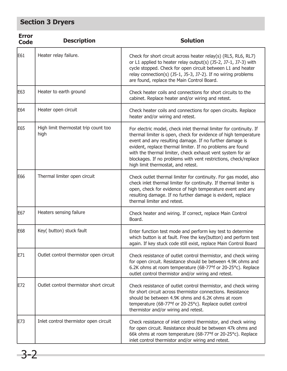| <b>Error</b><br><b>Code</b> | <b>Description</b>                           | <b>Solution</b>                                                                                                                                                                                                                                                                                                                                                                                                                        |
|-----------------------------|----------------------------------------------|----------------------------------------------------------------------------------------------------------------------------------------------------------------------------------------------------------------------------------------------------------------------------------------------------------------------------------------------------------------------------------------------------------------------------------------|
| E61                         | Heater relay failure.                        | Check for short circuit across heater relay(s) (RL5, RL6, RL7)<br>or L1 applied to heater relay output(s) (J5-2, J7-1, J7-3) with<br>cycle stopped. Check for open circuit between L1 and heater<br>relay connection(s) (J5-1, J5-3, J7-2). If no wiring problems<br>are found, replace the Main Control Board.                                                                                                                        |
| E63                         | Heater to earth ground                       | Check heater coils and connections for short circuits to the<br>cabinet. Replace heater and/or wiring and retest.                                                                                                                                                                                                                                                                                                                      |
| E64                         | Heater open circuit                          | Check heater coils and connections for open circuits. Replace<br>heater and/or wiring and retest.                                                                                                                                                                                                                                                                                                                                      |
| E65                         | High limit thermostat trip count too<br>high | For electric model, check inlet thermal limiter for continuity. If<br>thermal limiter is open, check for evidence of high temperature<br>event and any resulting damage. If no further damage is<br>evident, replace thermal limiter. If no problems are found<br>with the thermal limiter, check exhaust vent system for air<br>blockages. If no problems with vent restrictions, check/replace<br>high limit thermostat, and retest. |
| E66                         | Thermal limiter open circuit                 | Check outlet thermal limiter for continuity. For gas model, also<br>check inlet thermal limiter for continuity. If thermal limiter is<br>open, check for evidence of high temperature event and any<br>resulting damage. If no further damage is evident, replace<br>thermal limiter and retest.                                                                                                                                       |
| E67                         | Heaters sensing failure                      | Check heater and wiring. If correct, replace Main Control<br>Board.                                                                                                                                                                                                                                                                                                                                                                    |
| E68                         | Key( button) stuck fault                     | Enter function test mode and perform key test to determine<br>which button is at fault. Free the key(button) and perform test<br>again. If key stuck code still exist, replace Main Control Board                                                                                                                                                                                                                                      |
| E71                         | Outlet control thermistor open circuit       | Check resistance of outlet control thermistor, and check wiring<br>for open circuit. Resistance should be between 4.9K ohms and<br>6.2K ohms at room temperature (68-77°f or 20-25°c). Replace<br>outlet control thermistor and/or wiring and retest.                                                                                                                                                                                  |
| E72                         | Outlet control thermistor short circuit      | Check resistance of outlet control thermistor, and check wiring<br>for short circuit across thermistor connections. Resistance<br>should be between 4.9K ohms and 6.2K ohms at room<br>temperature (68-77°f or 20-25°c). Replace outlet control<br>thermistor and/or wiring and retest.                                                                                                                                                |
| E73                         | Inlet control thermistor open circuit        | Check resistance of inlet control thermistor, and check wiring<br>for open circuit. Resistance should be between 47k ohms and<br>66k ohms at room temperature (68-77°f or 20-25°c). Replace<br>inlet control thermistor and/or wiring and retest.                                                                                                                                                                                      |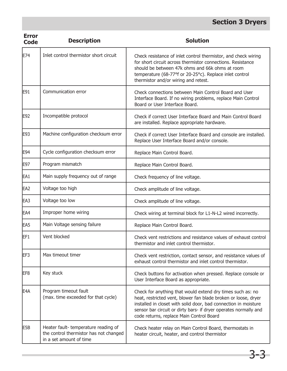| <b>Error</b><br><b>Code</b> | <b>Description</b>                                                                                        | <b>Solution</b>                                                                                                                                                                                                                                                                                                 |
|-----------------------------|-----------------------------------------------------------------------------------------------------------|-----------------------------------------------------------------------------------------------------------------------------------------------------------------------------------------------------------------------------------------------------------------------------------------------------------------|
| E74                         | Inlet control thermistor short circuit                                                                    | Check resistance of inlet control thermistor, and check wiring<br>for short circuit across thermistor connections. Resistance<br>should be between 47k ohms and 66k ohms at room<br>temperature (68-77°f or 20-25°c). Replace inlet control<br>thermistor and/or wiring and retest.                             |
| E91                         | Communication error                                                                                       | Check connections between Main Control Board and User<br>Interface Board. If no wiring problems, replace Main Control<br>Board or User Interface Board.                                                                                                                                                         |
| E92                         | Incompatible protocol                                                                                     | Check if correct User Interface Board and Main Control Board<br>are installed. Replace appropriate hardware.                                                                                                                                                                                                    |
| E93                         | Machine configuration checksum error                                                                      | Check if correct User Interface Board and console are installed.<br>Replace User Interface Board and/or console.                                                                                                                                                                                                |
| E94                         | Cycle configuration checksum error                                                                        | Replace Main Control Board.                                                                                                                                                                                                                                                                                     |
| E97                         | Program mismatch                                                                                          | Replace Main Control Board.                                                                                                                                                                                                                                                                                     |
| EA1                         | Main supply frequency out of range                                                                        | Check frequency of line voltage.                                                                                                                                                                                                                                                                                |
| EA <sub>2</sub>             | Voltage too high                                                                                          | Check amplitude of line voltage.                                                                                                                                                                                                                                                                                |
| EA3                         | Voltage too low                                                                                           | Check amplitude of line voltage.                                                                                                                                                                                                                                                                                |
| EA4                         | Improper home wiring                                                                                      | Check wiring at terminal block for L1-N-L2 wired incorrectly.                                                                                                                                                                                                                                                   |
| EA <sub>5</sub>             | Main Voltage sensing failure                                                                              | Replace Main Control Board.                                                                                                                                                                                                                                                                                     |
| EF1                         | Vent blocked                                                                                              | Check vent restrictions and resistance values of exhaust control<br>thermistor and inlet control thermistor.                                                                                                                                                                                                    |
| EF3                         | Max timeout timer                                                                                         | Check vent restriction, contact sensor, and resistance values of<br>exhaust control thermistor and inlet control thermistor.                                                                                                                                                                                    |
| EF8                         | Key stuck                                                                                                 | Check buttons for activation when pressed. Replace console or<br>User Interface Board as appropriate.                                                                                                                                                                                                           |
| E4A                         | Program timeout fault<br>(max. time exceeded for that cycle)                                              | Check for anything that would extend dry times such as: no<br>heat, restricted vent, blower fan blade broken or loose, dryer<br>installed in closet with solid door, bad connection in moisture<br>sensor bar circuit or dirty bars- if dryer operates normally and<br>code returns, replace Main Control Board |
| E5B                         | Heater fault- temperature reading of<br>the control thermistor has not changed<br>in a set amount of time | Check heater relay on Main Control Board, thermostats in<br>heater circuit, heater, and control thermistor                                                                                                                                                                                                      |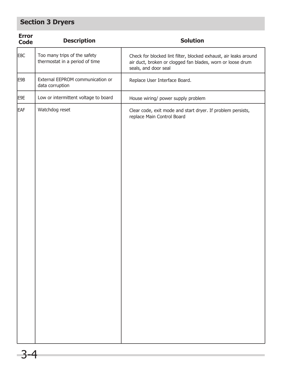| <b>Error</b><br><b>Code</b> | <b>Description</b>                                             | <b>Solution</b>                                                                                                                                        |
|-----------------------------|----------------------------------------------------------------|--------------------------------------------------------------------------------------------------------------------------------------------------------|
| E8C                         | Too many trips of the safety<br>thermostat in a period of time | Check for blocked lint filter, blocked exhaust, air leaks around<br>air duct, broken or clogged fan blades, worn or loose drum<br>seals, and door seal |
| E9B                         | External EEPROM communication or<br>data corruption            | Replace User Interface Board.                                                                                                                          |
| E9E                         | Low or intermittent voltage to board                           | House wiring/ power supply problem                                                                                                                     |
| <b>EAF</b>                  | Watchdog reset                                                 | Clear code, exit mode and start dryer. If problem persists,<br>replace Main Control Board                                                              |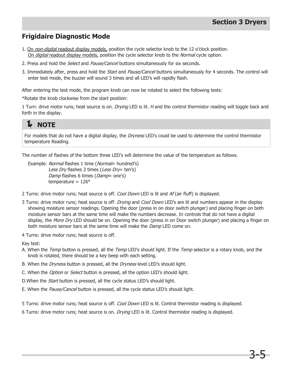# **Frigidaire Diagnostic Mode**

- 1. On non-digital readout display models, position the cycle selector knob to the 12 o'clock position. On *digital* readout display models, position the cycle selector knob to the *Normal* cycle option.
- 2. Press and hold the *Select* and *Pause/Cancel* buttons simultaneously for six seconds.
- 3. Immediately after, press and hold the Start and Pause/Cancel buttons simultaneously for 4 seconds. The control will enter test mode, the buzzer will sound 3 times and all LED's will rapidly flash.

After entering the test mode, the program knob can now be rotated to select the following tests:

\*Rotate the knob clockwise from the start position:

1 Turn: drive motor runs; heat source is on. *Drying* LED is lit. H and the control thermistor reading will toggle back and forth in the display.

#### L **NOTE**

For models that do not have a digital display, the Dryness LED's could be used to determine the control thermistor temperature Reading.

The number of flashes of the bottom three LED's will determine the value of the temperature as follows.

Example: Normal flashes 1 time (Normal= hundred's) Less Dry flashes 2 times (Less Dry= ten's) Damp flashes 6 times (Damp= one's) temperature =  $126^\circ$ 

- 2 Turns: drive motor runs; heat source is off. Cool Down LED is lit and Af (air fluff) is displayed.
- 3 Turns: drive motor runs; heat source is off. *Drying* and *Cool Down* LED's are lit and numbers appear in the display showing moisture sensor readings. Opening the door (press in on door switch plunger) and placing finger on both moisture sensor bars at the same time will make the numbers decrease. In controls that do not have a digital display, the More Dry LED should be on. Opening the door (press in on Door switch plunger) and placing a finger on both moisture sensor bars at the same time will make the *Damp* LED come on.
- 4 Turns: drive motor runs; heat source is off.

Key test:

- A. When the Temp button is pressed, all the Temp LED's should light. If the Temp selector is a rotary knob, and the knob is rotated, there should be a key beep with each setting.
- B. When the *Dryness* button is pressed, all the *Dryness* level LED's should light.
- C. When the Option or Select button is pressed, all the option LED's should light.
- D. When the *Start* button is pressed, all the cycle status LED's should light.
- E. When the *Pause/Cancel* button is pressed, all the cycle status LED's should light.
- 5 Turns: drive motor runs; heat source is off. Cool Down LED is lit. Control thermistor reading is displayed.
- 6 Turns: drive motor runs; heat source is on. *Drying* LED is lit. Control thermistor reading is displayed.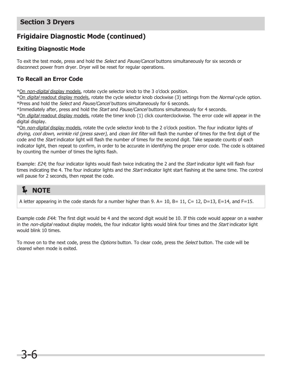# **Frigidaire Diagnostic Mode (continued)**

## **Exiting Diagnostic Mode**

To exit the test mode, press and hold the Select and Pause/Cancel buttons simultaneously for six seconds or disconnect power from dryer. Dryer will be reset for regular operations.

#### **To Recall an Error Code**

\*On non-digital display models, rotate cycle selector knob to the 3 o'clock position.

\*On digital readout display models, rotate the cycle selector knob clockwise (3) settings from the Normal cycle option. \*Press and hold the Select and Pause/Cancel buttons simultaneously for 6 seconds.

\*Immediately after, press and hold the Start and Pause/Cancel buttons simultaneously for 4 seconds.

\*On digital readout display models, rotate the timer knob (1) click counterclockwise. The error code will appear in the digital display.

\*On non-digital display models, rotate the cycle selector knob to the 2 o'clock position. The four indicator lights of drying, cool down, wrinkle rid (press saver), and clean lint filter will flash the number of times for the first digit of the code and the *Start* indicator light will flash the number of times for the second digit. Take separate counts of each indicator light, then repeat to confirm, in order to be accurate in identifying the proper error code. The code is obtained by counting the number of times the lights flash.

Example: E24; the four indicator lights would flash twice indicating the 2 and the *Start* indicator light will flash four times indicating the 4. The four indicator lights and the *Start* indicator light start flashing at the same time. The control will pause for 2 seconds, then repeat the code.

# **NOTE**

A letter appearing in the code stands for a number higher than 9. A= 10, B= 11, C= 12, D=13, E=14, and F=15.

Example code *E4A*: The first digit would be 4 and the second digit would be 10. If this code would appear on a washer in the non-digital readout display models, the four indicator lights would blink four times and the Start indicator light would blink 10 times.

To move on to the next code, press the *Options* button. To clear code, press the *Select* button. The code will be cleared when mode is exited.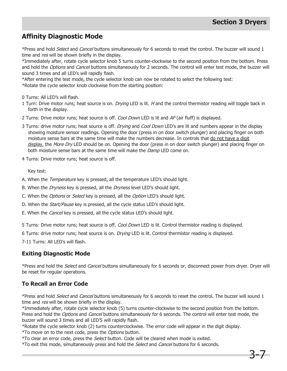## **Affinity Diagnostic Mode**

\*Press and hold Select and Cancel buttons simultaneously for 6 seconds to reset the control. The buzzer will sound 1 time and res will be shown briefly in the display.

\*Immediately after, rotate cycle selector knob 5 turns counter-clockwise to the second position from the bottom. Press and hold the Options and Cancel buttons simultaneously for 2 seconds. The control will enter test mode, the buzzer will sound 3 times and all LED's will rapidly flash.

\*After entering the test mode, the cycle selector knob can now be rotated to select the following test:

\*Rotate the cycle selector knob clockwise from the starting position:

0 Turns: All LED's will flash.

- 1 Turn: Drive motor runs; heat source is on. *Drying* LED is lit. H and the control thermistor reading will toggle back in forth in the display.
- 2 Turns: Drive motor runs; heat source is off. Cool Down LED is lit and AF (air fluff) is displayed.
- 3 Turns: drive motor runs; heat source is off. Drying and Cool Down LED's are lit and numbers appear in the display showing moisture sensor readings. Opening the door (press in on door switch plunger) and placing finger on both moisture sense bars at the same time will make the numbers decrease. In controls that do not have a digit display, the More Dry LED should be on. Opening the door (press in on door switch plunger) and placing finger on both moisture sense bars at the same time will make the Damp LED come on.
- 4 Turns: Drive motor runs; heat source is off.

Key test:

A. When the *Temperature* key is pressed, all the temperature LED's should light.

- B. When the *Dryness* key is pressed, all the *Dryness* level LED's should light.
- C. When the Options or Select key is pressed, all the Option LED's should light.
- D. When the *Start/Pause* key is pressed, all the cycle status LED's should light.
- E. When the *Cancel* key is pressed, all the cycle status LED's should light.

5 Turns: Drive motor runs; heat source is off. Cool Down LED is lit. Control thermistor reading is displayed.

6 Turns: drive motor runs; heat source is on. *Drying* LED is lit. Control thermistor reading is displayed.

7-11 Turns: All LED's will flash.

#### **Exiting Diagnostic Mode**

\*Press and hold the Select and Cancel buttons simultaneously for 6 seconds or, disconnect power from dryer. Dryer will be reset for regular operations.

#### **To Recall an Error Code**

\*Press and hold Select and Cancel buttons simultaneously for 6 seconds to reset the control. The buzzer will sound 1 time and res will be shown briefly in the display.

\*Immediately after, rotate cycle selector knob (5) turns counter-clockwise to the second position from the bottom. Press and hold the Options and Cancel buttons simultaneously for 6 seconds. The control will enter test mode, the buzzer will sound 3 times and all LED'S will rapidly flash.

\*Rotate the cycle selector knob (2) turns counterclockwise. The error code will appear in the digit display. *\*To move on to the next code, press the Options button.* 

\*To clear an error code, press the *Select* button. Code will be cleared when mode is exited.

\*To exit this mode, simultaneously press and hold the *Select* and *Cancel* buttons for 6 seconds.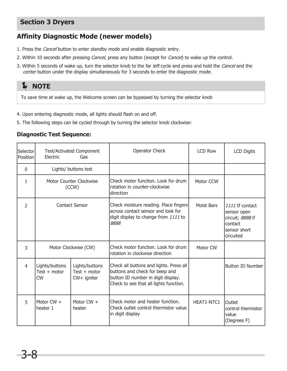# **Affinity Diagnostic Mode (newer models)**

- 1. Press the Cancel button to enter standby mode and enable diagnostic entry.
- 2. Within 10 seconds after pressing Cancel, press any button (except for Cancel) to wake up the control.
- 3. Within 5 seconds of wake up, turn the selector knob to the far left cycle and press and hold the Cancel and the center button under the display simultaneously for 3 seconds to enter the diagnostic mode.

#### $\mathbf{r}$ **NOTE**

To save time at wake up, the Welcome screen can be bypassed by turning the selector knob

4. Upon entering diagnostic mode, all lights should flash on and off.

5. The following steps can be cycled through by turning the selector knob clockwise:

#### **Diagnostic Test Sequence:**

| Selector<br>Position | <b>Test/Activated Component</b><br>Electric<br>Gas |                                                   | Operator Check                                                                                                                                            | <b>LCD Row</b>    | <b>LCD Digits</b>                                                                          |
|----------------------|----------------------------------------------------|---------------------------------------------------|-----------------------------------------------------------------------------------------------------------------------------------------------------------|-------------------|--------------------------------------------------------------------------------------------|
| $\Omega$             |                                                    | Lights/ buttons test                              |                                                                                                                                                           |                   |                                                                                            |
| $\mathbf{1}$         | Motor Counter Clockwise<br>(CCW)                   |                                                   | Check motor function. Look for drum<br>rotation in counter-clockwise<br>direction                                                                         | Motor CCW         |                                                                                            |
| 2                    | <b>Contact Sensor</b>                              |                                                   | Check moisture reading. Place fingers<br>across contact sensor and look for<br>digit display to change from 1111 to<br>8888                               | <b>Moist Bars</b> | 1111 If contact<br>sensor open<br>circuit; 8888 if<br>contact<br>sensor short<br>circuited |
| 3                    | Motor Clockwise (CW)                               |                                                   | Check motor function. Look for drum<br>rotation in clockwise direction                                                                                    | Motor CW          |                                                                                            |
| 4                    | Lights/buttons<br>$Test + motor$<br><b>CW</b>      | Lights/buttons<br>$Test + motor$<br>$CW+$ igniter | Check all buttons and lights. Press all<br>buttons and check for beep and<br>button ID number in digit display.<br>Check to see that all lights function. |                   | <b>Button ID Number</b>                                                                    |
| 5                    | Motor CW +<br>heater 1                             | Motor CW +<br>heater                              | Check motor and heater function.<br>Check outlet control thermistor value<br>in digit display                                                             | HEAT1-NTC1        | Outlet<br>control thermistor<br>value<br>(Degrees F)                                       |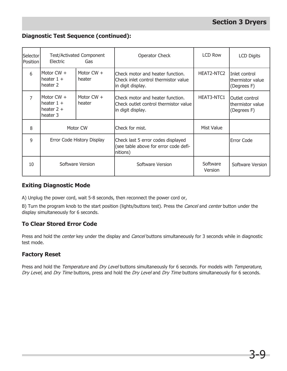## **Diagnostic Test Sequence (continued):**

| Selector <br>Position | <b>Test/Activated Component</b><br>Electric<br>Gas     |                        | Operator Check                                                                                 | <b>LCD Row</b>      | <b>LCD Digits</b>                                 |
|-----------------------|--------------------------------------------------------|------------------------|------------------------------------------------------------------------------------------------|---------------------|---------------------------------------------------|
| 6                     | Motor CW +<br>heater $1 +$<br>heater 2                 | Motor $CW +$<br>heater | Check motor and heater function.<br>Check inlet control thermistor value<br>in digit display.  | HEAT2-NTC2          | Inlet control<br>thermistor value<br>(Degrees F)  |
| $\overline{7}$        | Motor CW +<br>heater $1 +$<br>heater $2 +$<br>heater 3 | Motor $CW +$<br>heater | Check motor and heater function.<br>Check outlet control thermistor value<br>in digit display. | HEAT3-NTC1          | Outlet control<br>thermistor value<br>(Degrees F) |
| 8                     | Motor CW                                               |                        | Check for mist.                                                                                | Mist Value          |                                                   |
| 9                     | Error Code History Display                             |                        | Check last 5 error codes displayed<br>(see table above for error code defi-<br>nitions)        |                     | Error Code                                        |
| 10 <sup>°</sup>       | Software Version                                       |                        | Software Version                                                                               | Software<br>Version | Software Version                                  |

#### **Exiting Diagnostic Mode**

A) Unplug the power cord, wait 5-8 seconds, then reconnect the power cord or,

B) Turn the program knob to the start position (lights/buttons test). Press the Cancel and center button under the display simultaneously for 6 seconds.

#### **To Clear Stored Error Code**

Press and hold the *center* key under the display and *Cancel* buttons simultaneously for 3 seconds while in diagnostic test mode.

#### **Factory Reset**

Press and hold the Temperature and Dry Level buttons simultaneously for 6 seconds. For models with Temperature, Dry Level, and Dry Time buttons, press and hold the Dry Level and Dry Time buttons simultaneously for 6 seconds.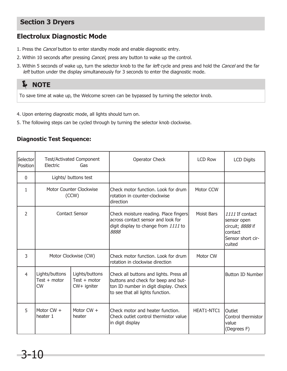# **Electrolux Diagnostic Mode**

- 1. Press the Cancel button to enter standby mode and enable diagnostic entry.
- 2. Within 10 seconds after pressing Cancel, press any button to wake up the control.
- 3. Within 5 seconds of wake up, turn the selector knob to the far left cycle and press and hold the Cancel and the far left button under the display simultaneously for 3 seconds to enter the diagnostic mode.

#### $\mathbf{r}$ **NOTE**

To save time at wake up, the Welcome screen can be bypassed by turning the selector knob.

4. Upon entering diagnostic mode, all lights should turn on.

5. The following steps can be cycled through by turning the selector knob clockwise.

#### **Diagnostic Test Sequence:**

| Selector<br>Position | <b>Test/Activated Component</b><br>Electric<br>Gas |                                                   | Operator Check                                                                                                                                              | <b>LCD Row</b> | <b>LCD Digits</b>                                                                            |
|----------------------|----------------------------------------------------|---------------------------------------------------|-------------------------------------------------------------------------------------------------------------------------------------------------------------|----------------|----------------------------------------------------------------------------------------------|
| $\Omega$             |                                                    | Lights/ buttons test                              |                                                                                                                                                             |                |                                                                                              |
| $\mathbf{1}$         | Motor Counter Clockwise<br>(CCW)                   |                                                   | Check motor function. Look for drum<br>rotation in counter-clockwise<br>ldirection                                                                          | Motor CCW      |                                                                                              |
| 2                    | <b>Contact Sensor</b>                              |                                                   | Check moisture reading. Place fingers<br>across contact sensor and look for<br>digit display to change from 1111 to<br>8888                                 | Moist Bars     | 1111 If contact<br>sensor open<br>circuit; 8888 if<br>contact<br>Sensor short cir-<br>cuited |
| $\overline{3}$       | Motor Clockwise (CW)                               |                                                   | Check motor function. Look for drum<br>rotation in clockwise direction                                                                                      | Motor CW       |                                                                                              |
| $\overline{4}$       | Lights/buttons<br>$Test + motor$<br><b>CW</b>      | Lights/buttons<br>$Test + motor$<br>$CW+$ igniter | Check all buttons and lights. Press all<br>buttons and check for beep and but-<br>ton ID number in digit display. Check<br>to see that all lights function. |                | <b>Button ID Number</b>                                                                      |
| 5                    | Motor CW +<br>heater 1                             | Motor CW +<br>heater                              | Check motor and heater function.<br>Check outlet control thermistor value<br>in digit display                                                               | HEAT1-NTC1     | Outlet<br>Control thermistor<br>value<br>(Degrees F)                                         |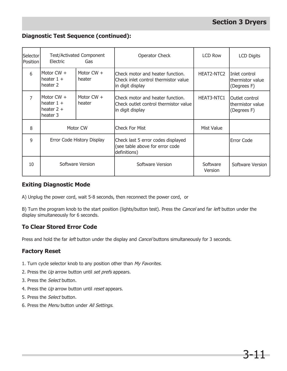3-11

## **Diagnostic Test Sequence (continued):**

| Selector <br>Position | <b>Test/Activated Component</b><br>Electric<br>Gas     |                        | Operator Check                                                                                | <b>LCD Row</b>      | <b>LCD Digits</b>                                 |
|-----------------------|--------------------------------------------------------|------------------------|-----------------------------------------------------------------------------------------------|---------------------|---------------------------------------------------|
| 6                     | Motor CW +<br>heater $1 +$<br>heater 2                 | Motor $CW +$<br>heater | Check motor and heater function.<br>Check inlet control thermistor value<br>in digit display  | HEAT2-NTC2          | Inlet control<br>thermistor value<br>(Degrees F)  |
| $\overline{7}$        | Motor CW +<br>heater $1 +$<br>heater $2 +$<br>heater 3 | Motor $CW +$<br>heater | Check motor and heater function.<br>Check outlet control thermistor value<br>in digit display | HEAT3-NTC1          | Outlet control<br>thermistor value<br>(Degrees F) |
| 8                     | Motor CW                                               |                        | <b>Check For Mist</b>                                                                         | Mist Value          |                                                   |
| 9                     | Error Code History Display                             |                        | Check last 5 error codes displayed<br>(see table above for error code<br>definitions)         |                     | Error Code                                        |
| 10 <sup>°</sup>       | Software Version                                       |                        | Software Version                                                                              | Software<br>Version | Software Version                                  |

#### **Exiting Diagnostic Mode**

A) Unplug the power cord, wait 5-8 seconds, then reconnect the power cord, or

B) Turn the program knob to the start position (lights/button test). Press the Cancel and far left button under the display simultaneously for 6 seconds.

#### **To Clear Stored Error Code**

Press and hold the far left button under the display and Cancel buttons simultaneously for 3 seconds.

#### **Factory Reset**

- 1. Turn cycle selector knob to any position other than  $My$  Favorites.
- 2. Press the Up arrow button until set prefs appears.
- 3. Press the Select button.
- 4. Press the  $Up$  arrow button until reset appears.
- 5. Press the *Select* button.
- 6. Press the Menu button under All Settings.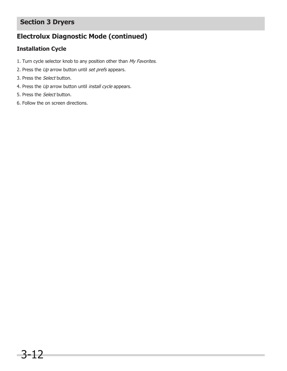# **Electrolux Diagnostic Mode (continued)**

## **Installation Cycle**

- 1. Turn cycle selector knob to any position other than My Favorites.
- 2. Press the Up arrow button until set prefs appears.
- 3. Press the Select button.
- 4. Press the  $Up$  arrow button until *install cycle* appears.
- 5. Press the Select button.
- 6. Follow the on screen directions.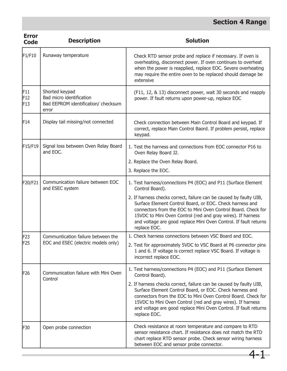# **Section 4 Range**

| <b>Error</b><br>Code                | <b>Description</b>                                                                         | <b>Solution</b>                                                                                                                                                                                                                                                                                                                                                                                                                        |
|-------------------------------------|--------------------------------------------------------------------------------------------|----------------------------------------------------------------------------------------------------------------------------------------------------------------------------------------------------------------------------------------------------------------------------------------------------------------------------------------------------------------------------------------------------------------------------------------|
| F1/F10                              | Runaway temperature                                                                        | Check RTD sensor probe and replace if necessary. If oven is<br>overheating, disconnect power. If oven continues to overheat<br>when the power is reapplied, replace EOC. Severe overheating<br>may require the entire oven to be replaced should damage be<br>extensive                                                                                                                                                                |
| F <sub>11</sub><br>F12<br>F13       | Shorted keypad<br>Bad micro identification<br>Bad EEPROM identification/ checksum<br>error | (F11, 12, & 13) disconnect power, wait 30 seconds and reapply<br>power. If fault returns upon power-up, replace EOC                                                                                                                                                                                                                                                                                                                    |
| F14                                 | Display tail missing/not connected                                                         | Check connection between Main Control Board and keypad. If<br>correct, replace Main Control Baord. If problem persist, replace<br>keypad.                                                                                                                                                                                                                                                                                              |
| F15/F19                             | Signal loss between Oven Relay Board<br>and EOC.                                           | 1. Test the harness and connections from EOC connector P16 to<br>Oven Relay Board J2.<br>2. Replace the Oven Relay Board.<br>3. Replace the EOC.                                                                                                                                                                                                                                                                                       |
| F20/F21                             | Communication failure between EOC<br>and ESEC system                                       | 1. Test harness/connections P4 (EOC) and P11 (Surface Element<br>Control Board).<br>2. If harness checks correct, failure can be caused by faulty UIB,<br>Surface Element Control Board, or EOC. Check harness and<br>connectors from the EOC to Mini Oven Control Board. Check for<br>15VDC to Mini Oven Control (red and gray wires). If harness<br>and voltage are good replace Mini Oven Control. If fault returns<br>replace EOC. |
| F <sub>23</sub><br>lF <sub>25</sub> | Communtication failure between the<br>EOC and ESEC (electric models only)                  | 1. Check harness connections between VSC Board and EOC.<br>2. Test for approximately 5VDC to VSC Board at P6 connector pins<br>1 and 6. If voltage is correct replace VSC Board. If voltage is<br>incorrect replace EOC.                                                                                                                                                                                                               |
| F <sub>26</sub>                     | Communication failure with Mini Oven<br>Control                                            | 1. Test harness/connections P4 (EOC) and P11 (Surface Element<br>Control Board).<br>2. If harness checks correct, failure can be caused by faulty UIB,<br>Surface Element Control Board, or EOC. Check harness and<br>connectors from the EOC to Mini Oven Control Board, Check for<br>15VDC to Mini Oven Control (red and gray wires). If harness<br>and voltage are good replace Mini Oven Control. If fault returns<br>replace EOC. |
| F30                                 | Open probe connection                                                                      | Check resistance at room temperature and compare to RTD<br>sensor resistance chart. If resistance does not match the RTD<br>chart replace RTD sensor probe. Check sensor wiring harness<br>between EOC and sensor probe connector.                                                                                                                                                                                                     |

4-1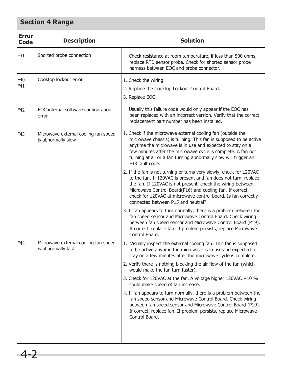# **Section 4 Range**

| <b>Error</b><br><b>Code</b> | <b>Description</b>                                         | <b>Solution</b>                                                                                                                                                                                                                                                                                                                                                           |
|-----------------------------|------------------------------------------------------------|---------------------------------------------------------------------------------------------------------------------------------------------------------------------------------------------------------------------------------------------------------------------------------------------------------------------------------------------------------------------------|
| F <sub>31</sub>             | Shorted probe connection                                   | Check resistance at room temperature, if less than 500 ohms,<br>replace RTD sensor probe. Check for shorted sensor probe<br>harness between EOC and probe connector.                                                                                                                                                                                                      |
| F40<br>F41                  | Cooktop lockout error                                      | 1. Check the wiring.<br>2. Replace the Cooktop Lockout Control Board.<br>3. Replace EOC                                                                                                                                                                                                                                                                                   |
| F <sub>42</sub>             | EOC internal software configuration<br>error               | Usually this failure code would only appear if the EOC has<br>been replaced with an incorrect version. Verify that the correct<br>replacement part number has been installed.                                                                                                                                                                                             |
| F43                         | Microwave external cooling fan speed<br>is abnormally slow | 1. Check if the microwave external cooling fan (outside the<br>microwave chassis) is turning. This fan is supposed to be active<br>anytime the microwave is in use and expected to stay on a<br>few minutes after the microwave cycle is complete. A fan not<br>turning at all or a fan turning abnormally slow will trigger an<br>F43 fault code.                        |
|                             |                                                            | 2. If the fan is not turning or turns very slowly, check for 120VAC<br>to the fan. If 120VAC is present and fan does not turn, replace<br>the fan. If 120VAC is not present, check the wiring between<br>Microwave Control Board(P16) and cooling fan. If correct,<br>check for 120VAC at microwave control board. Is fan correctly<br>connected between P15 and neutral? |
|                             |                                                            | 3. If fan appears to turn normally, there is a problem between the<br>fan speed sensor and Microwave Control Board. Check wiring<br>between fan speed sensor and Microwave Control Board (P19).<br>If correct, replace fan. If problem persists, replace Microwave<br>Control Board.                                                                                      |
| F44                         | Microwave external cooling fan speed<br>is abnormally fast | 1. Visually inspect the external cooling fan. This fan is supposed<br>to be active anytime the microwave is in use and expected to<br>stay on a few minutes after the microwave cycle is complete.                                                                                                                                                                        |
|                             |                                                            | 2. Verify there is nothing blocking the air flow of the fan (which<br>would make the fan turn faster).                                                                                                                                                                                                                                                                    |
|                             |                                                            | 3. Check for 120VAC at the fan. A voltage higher 120VAC +10 %<br>could make speed of fan increase.                                                                                                                                                                                                                                                                        |
|                             |                                                            | 4. If fan appears to turn normally, there is a problem between the<br>fan speed sensor and Microwave Control Board. Check wiring<br>between fan speed sensor and Microwave Control Board (P19).<br>If correct, replace fan. If problem persists, replace Microwave<br>Control Board.                                                                                      |
|                             |                                                            |                                                                                                                                                                                                                                                                                                                                                                           |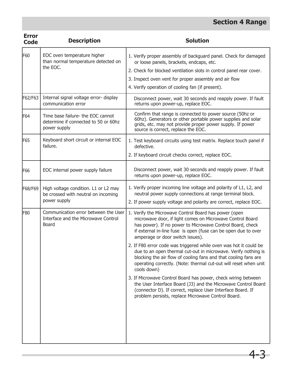| <b>Error</b><br><b>Code</b> | <b>Description</b>                                                                          | <b>Solution</b>                                                                                                                                                                                                                                                                           |
|-----------------------------|---------------------------------------------------------------------------------------------|-------------------------------------------------------------------------------------------------------------------------------------------------------------------------------------------------------------------------------------------------------------------------------------------|
| F60                         | EOC oven temperature higher<br>than normal temperature detected on                          | 1. Verify proper assembly of backguard panel. Check for damaged<br>or loose panels, brackets, endcaps, etc.                                                                                                                                                                               |
|                             | the EOC.                                                                                    | 2. Check for blocked ventilation slots in control panel rear cover.                                                                                                                                                                                                                       |
|                             |                                                                                             | 3. Inspect oven vent for proper assembly and air flow                                                                                                                                                                                                                                     |
|                             |                                                                                             | 4. Verify operation of cooling fan (if present).                                                                                                                                                                                                                                          |
| F62/F63                     | Internal signal voltage error- display<br>communication error                               | Disconnect power, wait 30 seconds and reapply power. If fault<br>returns upon power-up, replace EOC.                                                                                                                                                                                      |
| F64                         | Time base failure- the EOC cannot<br>determine if connected to 50 or 60hz<br>power supply   | Confirm that range is connected to power source (50hz or<br>60hz). Generators or other portable power supplies and solar<br>grids, etc. may not provide proper power supply. If power<br>source is correct, replace the EOC.                                                              |
| F65                         | Keyboard short circuit or internal EOC<br>failure.                                          | 1. Test keyboard circuits using test matrix. Replace touch panel if<br>defective.                                                                                                                                                                                                         |
|                             |                                                                                             | 2. If keyboard circuit checks correct, replace EOC.                                                                                                                                                                                                                                       |
| F66                         | EOC internal power supply failure                                                           | Disconnect power, wait 30 seconds and reapply power. If fault<br>returns upon power-up, replace EOC.                                                                                                                                                                                      |
| F68/F69                     | High voltage condition. L1 or L2 may<br>be crossed with neutral on incoming<br>power supply | 1. Verify proper incoming line voltage and polarity of L1, L2, and<br>neutral power supply connections at range terminal block.                                                                                                                                                           |
|                             |                                                                                             | 2. If power supply voltage and polarity are correct, replace EOC.                                                                                                                                                                                                                         |
| F80                         | Communication error between the User<br>Interface and the Microwave Control<br><b>Board</b> | 1. Verify the Microwave Control Board has power (open<br>microwave door, if light comes on Microwave Control Board<br>has power). If no power to Microwave Control Board, check<br>if external in-line fuse is open (fuse can be open due to over<br>amperage or door switch issues).     |
|                             |                                                                                             | 2. If F80 error code was triggered while oven was hot it could be<br>due to an open thermal cut-out in microwave. Verify nothing is<br>blocking the air flow of cooling fans and that cooling fans are<br>operating correctly. (Note: thermal cut-out will reset when unit<br>cools down) |
|                             |                                                                                             | 3. If Microwave Control Board has power, check wiring between<br>the User Interface Board (J3) and the Microwave Control Board<br>(connector D). If correct, replace User Interface Board. If<br>problem persists, replace Microwave Control Board.                                       |
|                             |                                                                                             |                                                                                                                                                                                                                                                                                           |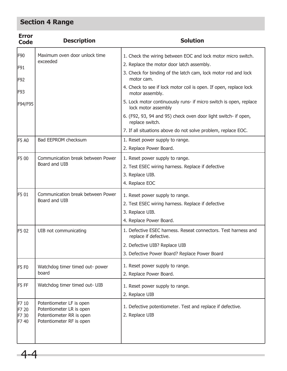| <b>Error</b><br><b>Code</b> | <b>Description</b>                                   | <b>Solution</b>                                                                          |
|-----------------------------|------------------------------------------------------|------------------------------------------------------------------------------------------|
| F <sub>90</sub>             | Maximum oven door unlock time                        | 1. Check the wiring between EOC and lock motor micro switch.                             |
| F91                         | exceeded                                             | 2. Replace the motor door latch assembly.                                                |
| F92                         |                                                      | 3. Check for binding of the latch cam, lock motor rod and lock<br>motor cam.             |
| F93                         |                                                      | 4. Check to see if lock motor coil is open. If open, replace lock<br>motor assembly.     |
| F94/F95                     |                                                      | 5. Lock motor continuously runs- if micro switch is open, replace<br>lock motor assembly |
|                             |                                                      | 6. (F92, 93, 94 and 95) check oven door light switch- if open,<br>replace switch.        |
|                             |                                                      | 7. If all situations above do not solve problem, replace EOC.                            |
| <b>F5 A0</b>                | Bad EEPROM checksum                                  | 1. Reset power supply to range.                                                          |
|                             |                                                      | 2. Replace Power Board.                                                                  |
| F5 00                       | Communication break between Power                    | 1. Reset power supply to range.                                                          |
|                             | Board and UIB                                        | 2. Test ESEC wiring harness. Replace if defective                                        |
|                             |                                                      | 3. Replace UIB.                                                                          |
|                             |                                                      | 4. Replace EOC                                                                           |
| F5 01                       | Communication break between Power<br>Board and UIB   | 1. Reset power supply to range.                                                          |
|                             |                                                      | 2. Test ESEC wiring harness. Replace if defective                                        |
|                             |                                                      | 3. Replace UIB.                                                                          |
|                             |                                                      | 4. Replace Power Board.                                                                  |
| F5 02                       | UIB not communicating                                | 1. Defective ESEC harness. Reseat connectors. Test harness and<br>replace if defective.  |
|                             |                                                      | 2. Defective UIB? Replace UIB                                                            |
|                             |                                                      | 3. Defective Power Board? Replace Power Board                                            |
| <b>F5 F0</b>                | Watchdog timer timed out- power                      | 1. Reset power supply to range.                                                          |
|                             | board                                                | 2. Replace Power Board.                                                                  |
| F5 FF                       | Watchdog timer timed out- UIB                        | 1. Reset power supply to range.                                                          |
|                             |                                                      | 2. Replace UIB                                                                           |
| F7 10                       | Potentiometer LF is open                             | 1. Defective potentiometer. Test and replace if defective.                               |
| F7 20<br>F7 30              | Potentiometer LR is open<br>Potentiometer RR is open | 2. Replace UIB                                                                           |
| F740                        | Potentiometer RF is open                             |                                                                                          |
|                             |                                                      |                                                                                          |
|                             |                                                      |                                                                                          |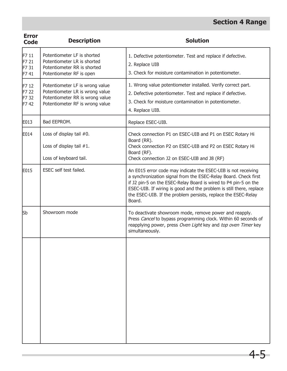| <b>Error</b><br><b>Code</b>      | <b>Description</b>                                                                                                                       | <b>Solution</b>                                                                                                                                                                                                                                                                                                                                       |
|----------------------------------|------------------------------------------------------------------------------------------------------------------------------------------|-------------------------------------------------------------------------------------------------------------------------------------------------------------------------------------------------------------------------------------------------------------------------------------------------------------------------------------------------------|
| F7 11<br>F7 21<br>F7 31<br>F7 41 | Potentiometer LF is shorted<br>Potentiometer LR is shorted<br>Potentiometer RR is shorted<br>Potentiometer RF is open                    | 1. Defective potentiometer. Test and replace if defective.<br>2. Replace UIB<br>3. Check for moisture contamination in potentiometer.                                                                                                                                                                                                                 |
| F7 12<br>F7 22<br>F7 32<br>F742  | Potentiometer LF is wrong value<br>Potentiometer LR is wrong value<br>Potentiometer RR is wrong value<br>Potentiometer RF is wrong value | 1. Wrong value potentiometer installed. Verify correct part.<br>2. Defective potentiometer. Test and replace if defective.<br>3. Check for moisture contamination in potentiometer.<br>4. Replace UIB.                                                                                                                                                |
| E013                             | Bad EEPROM.                                                                                                                              | Replace ESEC-UIB.                                                                                                                                                                                                                                                                                                                                     |
| E014                             | Loss of display tail $#0$ .<br>Loss of display tail $#1$ .<br>Loss of keyboard tail.                                                     | Check connection P1 on ESEC-UIB and P1 on ESEC Rotary Hi<br>Board (RR).<br>Check connection P2 on ESEC-UIB and P2 on ESEC Rotary Hi<br>Board (RF).<br>Check connection J2 on ESEC-UIB and J8 (RF)                                                                                                                                                     |
| E015                             | ESEC self test failed.                                                                                                                   | An E015 error code may indicate the ESEC-UIB is not receiving<br>a synchronization signal from the ESEC-Relay Board. Check first<br>if J2 pin-5 on the ESEC-Relay Board is wired to P4 pin-5 on the<br>ESEC-UIB. If wiring is good and the problem is still there, replace<br>the ESEC-UIB. If the problem persists, replace the ESEC-Relay<br>Board. |
| lSb                              | Showroom mode                                                                                                                            | To deactivate showroom mode, remove power and reapply.<br>Press Cancel to bypass programming clock. Within 60 seconds of<br>reapplying power, press Oven Light key and top oven Timer key<br>simultaneously.                                                                                                                                          |
|                                  |                                                                                                                                          |                                                                                                                                                                                                                                                                                                                                                       |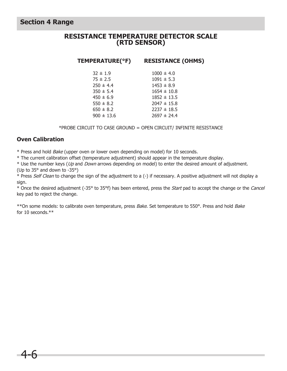#### **RESISTANCE TEMPERATURE DETECTOR SCALE (RTD SENSOR)**

| TEMPERATURE(°F) | <b>RESISTANCE (OHMS)</b> |
|-----------------|--------------------------|
| $32 \pm 1.9$    | $1000 \pm 4.0$           |
| $75 \pm 2.5$    | $1091 \pm 5.3$           |
| $250 \pm 4.4$   | $1453 \pm 8.9$           |
| $350 \pm 5.4$   | $1654 \pm 10.8$          |
| $450 \pm 6.9$   | $1852 \pm 13.5$          |
| $550 \pm 8.2$   | $2047 \pm 15.8$          |
| $650 \pm 8.2$   | $2237 \pm 18.5$          |
| $900 \pm 13.6$  | $2697 \pm 24.4$          |
|                 |                          |

\*PROBE CIRCUIT TO CASE GROUND = OPEN CIRCUIT/ INFINITE RESISTANCE

#### **Oven Calibration**

\* Press and hold Bake (upper oven or lower oven depending on model) for 10 seconds.

\* The current calibration offset (temperature adjustment) should appear in the temperature display.

\* Use the number keys (Up and Down arrows depending on model) to enter the desired amount of adjustment. (Up to 35° and down to -35°)

\* Press Self Clean to change the sign of the adjustment to a (-) if necessary. A positive adjustment will not display a sign.

\* Once the desired adjustment (-35° to 35°f) has been entered, press the Start pad to accept the change or the Cancel key pad to reject the change.

\*\*On some models: to calibrate oven temperature, press Bake. Set temperature to 550°. Press and hold Bake for 10 seconds.\*\*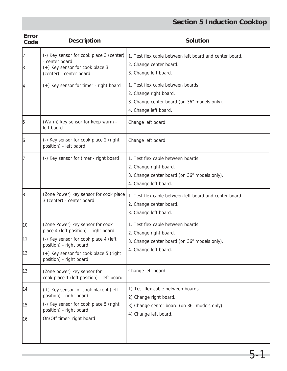| <b>Error</b><br>Code | <b>Description</b>                                                                                                                                                                                                 | <b>Solution</b>                                                                                                                       |
|----------------------|--------------------------------------------------------------------------------------------------------------------------------------------------------------------------------------------------------------------|---------------------------------------------------------------------------------------------------------------------------------------|
| 2<br>3               | (-) Key sensor for cook place 3 (center)<br>- center board<br>(+) Key sensor for cook place 3<br>(center) - center board                                                                                           | 1. Test flex cable between left board and center board.<br>2. Change center board.<br>3. Change left board.                           |
| 4                    | (+) Key sensor for timer - right board                                                                                                                                                                             | 1. Test flex cable between boards.<br>2. Change right board.<br>3. Change center board (on 36" models only).<br>4. Change left board. |
| 5                    | (Warm) key sensor for keep warm -<br>left baord                                                                                                                                                                    | Change left board.                                                                                                                    |
| 6                    | (-) Key sensor for cook place 2 (right<br>position) - left baord                                                                                                                                                   | Change left board.                                                                                                                    |
| 17                   | (-) Key sensor for timer - right board                                                                                                                                                                             | 1. Test flex cable between boards.<br>2. Change right board.<br>3. Change center board (on 36" models only).<br>4. Change left board. |
| 8                    | (Zone Power) key sensor for cook place<br>3 (center) - center board                                                                                                                                                | 1. Test flex cable between left board and center board.<br>2. Change center board.<br>3. Change left board.                           |
| 10<br>11<br>12       | (Zone Power) key sensor for cook<br>place 4 (left position) - right board<br>(-) Key sensor for cook place 4 (left<br>position) - right board<br>(+) Key sensor for cook place 5 (right<br>position) - right board | 1. Test flex cable between boards.<br>2. Change right board.<br>3. Change center board (on 36" models only).<br>4. Change left board. |
| 13                   | (Zone power) key sensor for<br>cook place 1 (left position) - left board                                                                                                                                           | Change left board.                                                                                                                    |
| 14<br>15<br>16       | (+) Key sensor for cook place 4 (left<br>position) - right board<br>(-) Key sensor for cook place 5 (right<br>position) - right board<br>On/Off timer- right board                                                 | 1) Test flex cable between boards.<br>2) Change right board.<br>3) Change center board (on 36" models only).<br>4) Change left board. |
|                      |                                                                                                                                                                                                                    |                                                                                                                                       |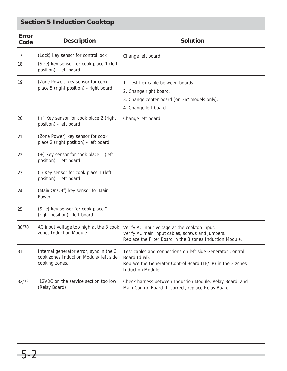| <b>Error</b><br>Code | <b>Description</b>                                                                                       | <b>Solution</b>                                                                                                                                                      |
|----------------------|----------------------------------------------------------------------------------------------------------|----------------------------------------------------------------------------------------------------------------------------------------------------------------------|
| 17<br>18             | (Lock) key sensor for control lock<br>(Size) key sensor for cook place 1 (left<br>position) - left board | Change left board.                                                                                                                                                   |
| 19                   | (Zone Power) key sensor for cook<br>place 5 (right position) - right board                               | 1. Test flex cable between boards.<br>2. Change right board.<br>3. Change center board (on 36" models only).<br>4. Change left board.                                |
| 20                   | (+) Key sensor for cook place 2 (right<br>position) - left board                                         | Change left board.                                                                                                                                                   |
| 21                   | (Zone Power) key sensor for cook<br>place 2 (right position) - left board                                |                                                                                                                                                                      |
| 22                   | (+) Key sensor for cook place 1 (left<br>position) - left board                                          |                                                                                                                                                                      |
| 23                   | (-) Key sensor for cook place 1 (left<br>position) - left board                                          |                                                                                                                                                                      |
| 24                   | (Main On/Off) key sensor for Main<br>Power                                                               |                                                                                                                                                                      |
| 25                   | (Size) key sensor for cook place 2<br>(right position) - left board                                      |                                                                                                                                                                      |
| 30/70                | AC input voltage too high at the 3 cook<br>zones Induction Module                                        | Verify AC input voltage at the cooktop input.<br>Verify AC main input cables, screws and jumpers.<br>Replace the Filter Board in the 3 zones Induction Module.       |
| 31                   | Internal generator error, sync in the 3<br>cook zones Induction Module/ left side<br>cooking zones.      | Test cables and connections on left side Generator Control<br>Board (dual).<br>Replace the Generator Control Board (LF/LR) in the 3 zones<br><b>Induction Module</b> |
| 32/72                | 12VDC on the service section too low<br>(Relay Board)                                                    | Check harness between Induction Module, Relay Board, and<br>Main Control Board. If correct, replace Relay Board.                                                     |
|                      |                                                                                                          |                                                                                                                                                                      |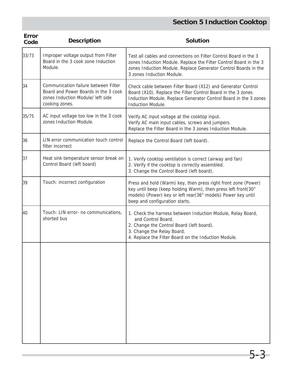| <b>Error</b><br>Code | <b>Description</b>                                                                                                                  | <b>Solution</b>                                                                                                                                                                                                                       |
|----------------------|-------------------------------------------------------------------------------------------------------------------------------------|---------------------------------------------------------------------------------------------------------------------------------------------------------------------------------------------------------------------------------------|
| 33/73                | Improper voltage output from Filter<br>Board in the 3 cook zone Induction<br>Module.                                                | Test all cables and connections on Filter Control Board in the 3<br>zones Induction Module. Replace the Filter Control Board in the 3<br>zones Induction Module. Replace Generator Control Boards in the<br>3 zones Induction Module. |
| 34                   | Communication failure between Filter<br>Board and Power Boards in the 3 cook<br>zones Induction Module/ left side<br>cooking zones. | Check cable between Filter Board (X12) and Generator Control<br>Board (X10). Replace the Filter Control Board in the 3 zones<br>Induction Module. Replace Generator Control Board in the 3 zones<br>Induction Module.                 |
| 35/75                | AC input voltage too low in the 3 cook<br>zones Induction Module.                                                                   | Verify AC input voltage at the cooktop input.<br>Verify AC main input cables, screws and jumpers.<br>Replace the Filter Board in the 3 zones Induction Module.                                                                        |
| 36                   | LIN error communication touch control<br>filter incorrect                                                                           | Replace the Control Board (left board).                                                                                                                                                                                               |
| 37                   | Heat sink temperature sensor break on<br>Control Board (left board)                                                                 | 1. Verify cooktop ventilation is correct (airway and fan)<br>2. Verify if the cooktop is correctly assembled.<br>3. Change the Control Board (left board).                                                                            |
| 39                   | Touch: incorrect configuration                                                                                                      | Press and hold (Warm) key, then press right front zone (Power)<br>key until beep (keep holding Warm), then press left front(30"<br>models) (Power) key or left rear(36" models) Power key until<br>beep and configuration starts.     |
| 40                   | Touch: LIN error- no communications,<br>shorted bus                                                                                 | 1. Check the harness between Induction Module, Relay Board,<br>and Control Board.<br>2. Change the Control Board (left board).<br>3. Change the Relay Board.<br>4. Replace the Filter Board on the Induction Module.                  |
|                      |                                                                                                                                     |                                                                                                                                                                                                                                       |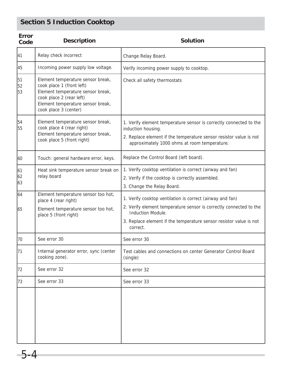# **Error**

5-4

**Conduction Conduction Conduction Conduction** 

| 41             | Relay check incorrect                                                                                                                                                                         | Change Relay Board.                                                                                                                                                                                            |
|----------------|-----------------------------------------------------------------------------------------------------------------------------------------------------------------------------------------------|----------------------------------------------------------------------------------------------------------------------------------------------------------------------------------------------------------------|
| 45             | Incoming power supply low voltage.                                                                                                                                                            | Verify incoming power supply to cooktop.                                                                                                                                                                       |
| 51<br>52<br>53 | Element temperature sensor break,<br>cook place 1 (front left)<br>Element temperature sensor break,<br>cook place 2 (rear left)<br>Element temperature sensor break,<br>cook place 3 (center) | Check all safety thermostats                                                                                                                                                                                   |
| 54<br>55       | Element temperature sensor break,<br>cook place 4 (rear right)<br>Element temperature sensor break,<br>cook place 5 (front right)                                                             | 1. Verify element temperature sensor is correctly connected to the<br>induction housing.<br>2. Replace element if the temperature sensor resistor value is not<br>approximately 1000 ohms at room temperature. |
| 60             | Touch: general hardware error, keys.                                                                                                                                                          | Replace the Control Board (left board).                                                                                                                                                                        |
| 61<br>62<br>63 | Heat sink temperature sensor break on<br>relay board                                                                                                                                          | 1. Verify cooktop ventilation is correct (airway and fan)<br>2. Verify if the cooktop is correctly assembled.<br>3. Change the Relay Board.                                                                    |
| 64             | Element temperature sensor too hot,<br>place 4 (rear right)                                                                                                                                   | 1. Verify cooktop ventilation is correct (airway and fan)                                                                                                                                                      |
| 65             | Element temperature sensor too hot,<br>place 5 (front right)                                                                                                                                  | 2. Verify element temperature sensor is correctly connected to the<br>Induction Module.<br>3. Replace element if the temperature sensor resistor value is not<br>correct.                                      |
| 70             | See error 30                                                                                                                                                                                  | See error 30                                                                                                                                                                                                   |
| 71             | Internal generator error, sync (center<br>cooking zone).                                                                                                                                      | Test cables and connections on center Generator Control Board<br>(single)                                                                                                                                      |
| 72             | See error 32                                                                                                                                                                                  | See error 32                                                                                                                                                                                                   |
| 73             | See error 33                                                                                                                                                                                  | See error 33                                                                                                                                                                                                   |
|                |                                                                                                                                                                                               |                                                                                                                                                                                                                |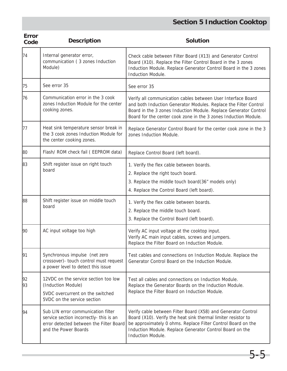| <b>Error</b><br>Code | <b>Description</b>                                                                                                                               | <b>Solution</b>                                                                                                                                                                                                                                                                 |
|----------------------|--------------------------------------------------------------------------------------------------------------------------------------------------|---------------------------------------------------------------------------------------------------------------------------------------------------------------------------------------------------------------------------------------------------------------------------------|
| 74                   | Internal generator error,<br>communication (3 zones Induction<br>Module)                                                                         | Check cable between Filter Board (X13) and Generator Control<br>Board (X10). Replace the Filter Control Board in the 3 zones<br>Induction Module. Replace Generator Control Board in the 3 zones<br>Induction Module.                                                           |
| 75                   | See error 35                                                                                                                                     | See error 35                                                                                                                                                                                                                                                                    |
| 76                   | Communication error in the 3 cook<br>zones Induction Module for the center<br>cooking zones.                                                     | Verify all communication cables between User Interface Board<br>and both Induction Generator Modules. Replace the Filter Control<br>Board in the 3 zones Induction Module. Replace Generator Control<br>Board for the center cook zone in the 3 zones Induction Module.         |
| 77                   | Heat sink temperature sensor break in<br>the 3 cook zones Induction Module for<br>the center cooking zones.                                      | Replace Generator Control Board for the center cook zone in the 3<br>zones Induction Module.                                                                                                                                                                                    |
| 80                   | Flash/ROM check fail (EEPROM data)                                                                                                               | Replace Control Board (left board).                                                                                                                                                                                                                                             |
| 83                   | Shift register issue on right touch<br>board                                                                                                     | 1. Verify the flex cable between boards.<br>2. Replace the right touch board.<br>3. Replace the middle touch board(36" models only)<br>4. Replace the Control Board (left board).                                                                                               |
| 88                   | Shift register issue on middle touch<br>board                                                                                                    | 1. Verify the flex cable between boards.<br>2. Replace the middle touch board.<br>3. Replace the Control Board (left board).                                                                                                                                                    |
| 90                   | AC input voltage too high                                                                                                                        | Verify AC input voltage at the cooktop input.<br>Verify AC main input cables, screws and jumpers.<br>Replace the Filter Board on Induction Module.                                                                                                                              |
| 91                   | Synchronous impulse (net zero<br>crossover)- touch control must request<br>a power level to detect this issue                                    | Test cables and connections on Induction Module. Replace the<br>Generator Control Board on the Induction Module.                                                                                                                                                                |
| 92<br>93             | 12VDC on the service section too low<br>(Induction Module)<br>5VDC overcurrent on the switched<br>5VDC on the service section                    | Test all cables and connections on Induction Module.<br>Replace the Generator Boards on the Induction Module.<br>Replace the Filter Board on Induction Module.                                                                                                                  |
| 94                   | Sub LIN error communication filter<br>service section incorrectly- this is an<br>error detected between the Filter Board<br>and the Power Boards | Verify cable between Filter Board (X58) and Generator Control<br>Board (X10). Verify the heat sink thermal limiter resistor to<br>be approximately 0 ohms. Replace Filter Control Board on the<br>Induction Module. Replace Generator Control Board on the<br>Induction Module. |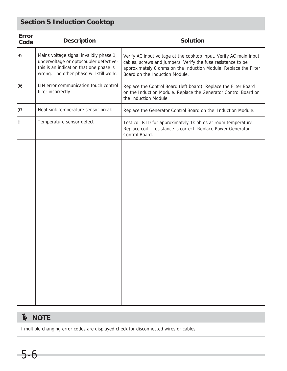| <b>Error</b><br>Code | <b>Description</b>                                                                                                                                                      | <b>Solution</b>                                                                                                                                                                                                                          |
|----------------------|-------------------------------------------------------------------------------------------------------------------------------------------------------------------------|------------------------------------------------------------------------------------------------------------------------------------------------------------------------------------------------------------------------------------------|
| 95                   | Mains voltage signal invalidly phase 1,<br>undervoltage or optocoupler defective-<br>this is an indication that one phase is<br>wrong. The other phase will still work. | Verify AC input voltage at the cooktop input. Verify AC main input<br>cables, screws and jumpers. Verify the fuse resistance to be<br>approximately 0 ohms on the Induction Module. Replace the Filter<br>Board on the Induction Module. |
| 96                   | LIN error communication touch control<br>filter incorrectly                                                                                                             | Replace the Control Board (left board). Replace the Filter Board<br>on the Induction Module. Replace the Generator Control Board on<br>the Induction Module.                                                                             |
| 97                   | Heat sink temperature sensor break                                                                                                                                      | Replace the Generator Control Board on the Induction Module.                                                                                                                                                                             |
| lΗ                   | Temperature sensor defect                                                                                                                                               | Test coil RTD for approximately 1k ohms at room temperature.<br>Replace coil if resistance is correct. Replace Power Generator<br>Control Board.                                                                                         |
|                      |                                                                                                                                                                         |                                                                                                                                                                                                                                          |

# **NOTE**

5-6

If multiple changing error codes are displayed check for disconnected wires or cables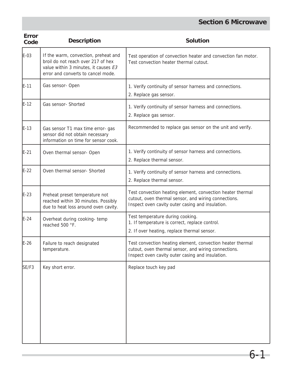### **Section 6 Microwave**

| <b>Error</b><br>Code | <b>Description</b>                                                                                                                                       | <b>Solution</b>                                                                                                                                                        |
|----------------------|----------------------------------------------------------------------------------------------------------------------------------------------------------|------------------------------------------------------------------------------------------------------------------------------------------------------------------------|
| $E-03$               | If the warm, convection, preheat and<br>broil do not reach over 217 of hex<br>value within 3 minutes, it causes E3<br>error and converts to cancel mode. | Test operation of convection heater and convection fan motor.<br>Test convection heater thermal cutout.                                                                |
| E-11                 | Gas sensor- Open                                                                                                                                         | 1. Verify continuity of sensor harness and connections.<br>2. Replace gas sensor.                                                                                      |
| $E-12$               | Gas sensor- Shorted                                                                                                                                      | 1. Verify continuity of sensor harness and connections.<br>2. Replace gas sensor.                                                                                      |
| $E-13$               | Gas sensor T1 max time error- gas<br>sensor did not obtain necessary<br>information on time for sensor cook.                                             | Recommended to replace gas sensor on the unit and verify.                                                                                                              |
| $E-21$               | Oven thermal sensor- Open                                                                                                                                | 1. Verify continuity of sensor harness and connections.<br>2. Replace thermal sensor.                                                                                  |
| $E-22$               | Oven thermal sensor- Shorted                                                                                                                             | 1. Verify continuity of sensor harness and connections.<br>2. Replace thermal sensor.                                                                                  |
| $E-23$               | Preheat preset temperature not<br>reached within 30 minutes. Possibly<br>due to heat loss around oven cavity.                                            | Test convection heating element, convection heater thermal<br>cutout, oven thermal sensor, and wiring connections.<br>Inspect oven cavity outer casing and insulation. |
| $E-24$               | Overheat during cooking- temp<br>reached 500 °F.                                                                                                         | Test temperature during cooking.<br>1. If temperature is correct, replace control.<br>2. If over heating, replace thermal sensor.                                      |
| $E-26$               | Failure to reach designated<br>temperature.                                                                                                              | Test convection heating element, convection heater thermal<br>cutout, oven thermal sensor, and wiring connections.<br>Inspect oven cavity outer casing and insulation. |
| SE/F3                | Key short error.                                                                                                                                         | Replace touch key pad                                                                                                                                                  |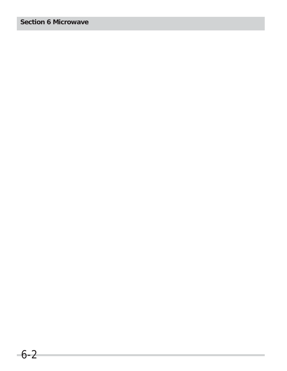### **Section 6 Microwave**

6-2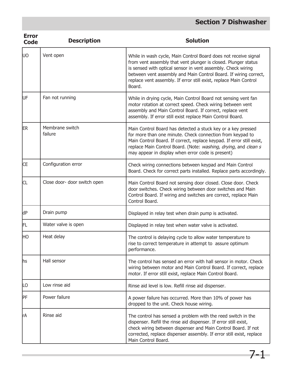# **Section 7 Dishwasher**

| <b>Error</b><br><b>Code</b> | <b>Description</b>           | <b>Solution</b>                                                                                                                                                                                                                                                                                                                                      |
|-----------------------------|------------------------------|------------------------------------------------------------------------------------------------------------------------------------------------------------------------------------------------------------------------------------------------------------------------------------------------------------------------------------------------------|
| luo                         | Vent open                    | While in wash cycle, Main Control Board does not receive signal<br>from vent assembly that vent plunger is closed. Plunger status<br>is sensed with optical sensor in vent assembly. Check wiring<br>between vent assembly and Main Control Board. If wiring correct,<br>replace vent assembly. If error still exist, replace Main Control<br>Board. |
| luf                         | Fan not running              | While in drying cycle, Main Control Board not sensing vent fan<br>motor rotation at correct speed. Check wiring between vent<br>assembly and Main Control Board. If correct, replace vent<br>assembly. If error still exist replace Main Control Board.                                                                                              |
| <b>ER</b>                   | Membrane switch<br>failure   | Main Control Board has detected a stuck key or a key pressed<br>for more than one minute. Check connection from keypad to<br>Main Control Board. If correct, replace keypad. If error still exist,<br>replace Main Control Board. (Note: washing, drying, and clean s<br>may appear in display when error code is present)                           |
| CE                          | Configuration error          | Check wiring connections between keypad and Main Control<br>Board. Check for correct parts installed. Replace parts accordingly.                                                                                                                                                                                                                     |
| CL                          | Close door- door switch open | Main Control Board not sensing door closed. Close door. Check<br>door switches. Check wiring between door switches and Main<br>Control Board. If wiring and switches are correct, replace Main<br>Control Board.                                                                                                                                     |
| dP                          | Drain pump                   | Displayed in relay test when drain pump is activated.                                                                                                                                                                                                                                                                                                |
| FL                          | Water valve is open          | Displayed in relay test when water valve is activated.                                                                                                                                                                                                                                                                                               |
| HO                          | Heat delay                   | The control is delaying cycle to allow water temperature to<br>rise to correct temperature in attempt to assure optimum<br>performance.                                                                                                                                                                                                              |
| hs                          | Hall sensor                  | The control has sensed an error with hall sensor in motor. Check<br>wiring between motor and Main Control Board. If correct, replace<br>motor. If error still exist, replace Main Control Board.                                                                                                                                                     |
| LO                          | Low rinse aid                | Rinse aid level is low. Refill rinse aid dispenser.                                                                                                                                                                                                                                                                                                  |
| ∣PF                         | Power failure                | A power failure has occurred. More than 10% of power has<br>dropped to the unit. Check house wiring.                                                                                                                                                                                                                                                 |
| ∣rA                         | Rinse aid                    | The control has sensed a problem with the reed switch in the<br>dispenser. Refill the rinse aid dispenser. If error still exist,<br>check wiring between dispenser and Main Control Board. If not<br>corrected, replace dispenser assembly. If error still exist, replace<br>Main Control Board.                                                     |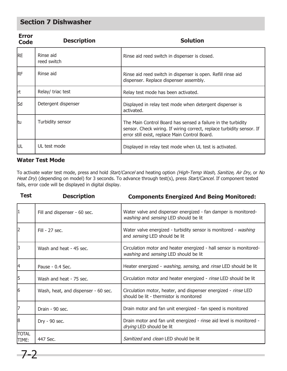### **Section 7 Dishwasher**

| <b>Error</b><br><b>Code</b> | <b>Description</b>       | <b>Solution</b>                                                                                                                                                                         |
|-----------------------------|--------------------------|-----------------------------------------------------------------------------------------------------------------------------------------------------------------------------------------|
| <b>RE</b>                   | Rinse aid<br>reed switch | Rinse aid reed switch in dispenser is closed.                                                                                                                                           |
| <b>IRF</b>                  | Rinse aid                | Rinse aid reed switch in dispenser is open. Refill rinse aid<br>dispenser. Replace dispenser assembly.                                                                                  |
| lrt                         | Relay/ triac test        | Relay test mode has been activated.                                                                                                                                                     |
| lSd                         | Detergent dispenser      | Displayed in relay test mode when detergent dispenser is<br>activated.                                                                                                                  |
| ltu                         | Turbidity sensor         | The Main Control Board has sensed a failure in the turbidity<br>sensor. Check wiring. If wiring correct, replace turbidity sensor. If<br>error still exist, replace Main Control Board. |
| UL                          | UL test mode             | Displayed in relay test mode when UL test is activated.                                                                                                                                 |

#### **Water Test Mode**

To activate water test mode, press and hold Start/Cancel and heating option (High-Temp Wash, Sanitize, Air Dry, or No Heat Dry) (depending on model) for 3 seconds. To advance through test(s), press Start/Cancel. If component tested fails, error code will be displayed in digital display.

| <b>Test</b>           | <b>Description</b>                  | <b>Components Energized And Being Monitored:</b>                                                            |
|-----------------------|-------------------------------------|-------------------------------------------------------------------------------------------------------------|
| l1                    | Fill and dispenser - 60 sec.        | Water valve and dispenser energized - fan damper is monitored-<br>washing and sensing LED should be lit     |
| l2                    | Fill - 27 sec.                      | Water valve energized - turbidity sensor is monitored - washing<br>and sensing LED should be lit            |
| l3                    | Wash and heat - 45 sec.             | Circulation motor and heater energized - hall sensor is monitored-<br>washing and sensing LED should be lit |
| 14                    | Pause - 0.4 Sec.                    | Heater energized - washing, sensing, and rinse LED should be lit                                            |
| 15                    | Wash and heat - 75 sec.             | Circulation motor and heater energized - rinse LED should be lit                                            |
| 16                    | Wash, heat, and dispenser - 60 sec. | Circulation motor, heater, and dispenser energized - rinse LED<br>should be lit - thermistor is monitored   |
|                       | Drain - 90 sec.                     | Drain motor and fan unit energized - fan speed is monitored                                                 |
| 18                    | Dry - 90 sec.                       | Drain motor and fan unit energized - rinse aid level is monitored -<br>drying LED should be lit             |
| <b>TOTAL</b><br>TIME: | 447 Sec.                            | Sanitized and clean LED should be lit                                                                       |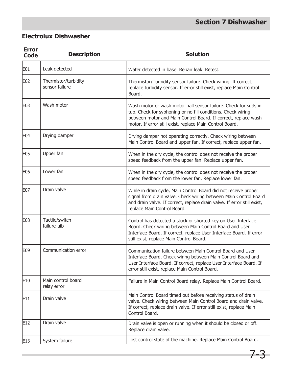### **Electrolux Dishwasher**

| <b>Error</b><br><b>Code</b> | <b>Description</b>                     | <b>Solution</b>                                                                                                                                                                                                                                               |
|-----------------------------|----------------------------------------|---------------------------------------------------------------------------------------------------------------------------------------------------------------------------------------------------------------------------------------------------------------|
| E01                         | Leak detected                          | Water detected in base. Repair leak. Retest.                                                                                                                                                                                                                  |
| E <sub>02</sub>             | Thermistor/turbidity<br>sensor failure | Thermistor/Turbidity sensor failure. Check wiring. If correct,<br>replace turbidity sensor. If error still exist, replace Main Control<br>Board.                                                                                                              |
| E <sub>03</sub>             | Wash motor                             | Wash motor or wash motor hall sensor failure. Check for suds in<br>tub. Check for syphoning or no fill conditions. Check wiring<br>between motor and Main Control Board. If correct, replace wash<br>motor. If error still exist, replace Main Control Board. |
| E04                         | Drying damper                          | Drying damper not operating correctly. Check wiring between<br>Main Control Board and upper fan. If correct, replace upper fan.                                                                                                                               |
| E <sub>05</sub>             | Upper fan                              | When in the dry cycle, the control does not receive the proper<br>speed feedback from the upper fan. Replace upper fan.                                                                                                                                       |
| E <sub>06</sub>             | Lower fan                              | When in the dry cycle, the control does not receive the proper<br>speed feedback from the lower fan. Replace lower fan.                                                                                                                                       |
| E07                         | Drain valve                            | While in drain cycle, Main Control Board did not receive proper<br>signal from drain valve. Check wiring between Main Control Board<br>and drain valve. If correct, replace drain valve. If error still exist,<br>replace Main Control Board.                 |
| E <sub>08</sub>             | Tactile/switch<br>failure-uib          | Control has detected a stuck or shorted key on User Interface<br>Board. Check wiring between Main Control Board and User<br>Interface Board. If correct, replace User Interface Board. If error<br>still exist, replace Main Control Board.                   |
| E <sub>09</sub>             | Communication error                    | Communication failure between Main Control Board and User<br>Interface Board. Check wiring between Main Control Board and<br>User Interface Board. If correct, replace User Interface Board. If<br>error still exist, replace Main Control Board.             |
| E10                         | Main control board<br>relay error      | Failure in Main Control Board relay. Replace Main Control Board.                                                                                                                                                                                              |
| E11                         | Drain valve                            | Main Control Board timed out before receiving status of drain<br>valve. Check wiring between Main Control Board and drain valve.<br>If correct, replace drain valve. If error still exist, replace Main<br>Control Board.                                     |
| E <sub>12</sub>             | Drain valve                            | Drain valve is open or running when it should be closed or off.<br>Replace drain valve.                                                                                                                                                                       |
| E13                         | System failure                         | Lost control state of the machine. Replace Main Control Board.                                                                                                                                                                                                |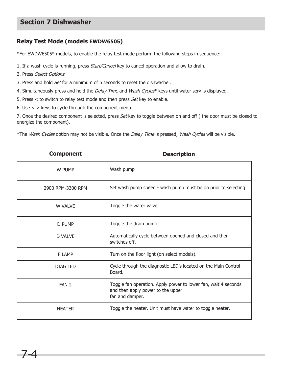### **Section 7 Dishwasher**

#### **Relay Test Mode (models EWDW6505)**

\*For EWDW6505\* models, to enable the relay test mode perform the following steps in sequence:

1. If a wash cycle is running, press *Start/Cancel* key to cancel operation and allow to drain.

2. Press Select Options.

7-4

- 3. Press and hold Set for a minimum of 5 seconds to reset the dishwasher.
- 4. Simultaneously press and hold the Delay Time and Wash Cycles\* keys until water serv is displayed.
- 5. Press < to switch to relay test mode and then press Set key to enable.
- 6. Use < > keys to cycle through the component menu.

7. Once the desired component is selected, press Set key to toggle between on and off (the door must be closed to energize the component).

**Description**

\*The Wash Cycles option may not be visible. Once the Delay Time is pressed, Wash Cycles will be visible.

| W PUMP            | Wash pump                                                                                                              |
|-------------------|------------------------------------------------------------------------------------------------------------------------|
| 2900 RPM-3300 RPM | Set wash pump speed - wash pump must be on prior to selecting                                                          |
| W VAI VF          | Toggle the water valve                                                                                                 |
| D PUMP            | Toggle the drain pump                                                                                                  |
| D VAI VE          | Automatically cycle between opened and closed and then<br>switches off.                                                |
| F LAMP            | Turn on the floor light (on select models).                                                                            |
| DIAG LED          | Cycle through the diagnostic LED's located on the Main Control<br>Board.                                               |
| FAN <sub>2</sub>  | Toggle fan operation. Apply power to lower fan, wait 4 seconds<br>and then apply power to the upper<br>fan and damper. |
| <b>HEATER</b>     | Toggle the heater. Unit must have water to toggle heater.                                                              |

#### **Component**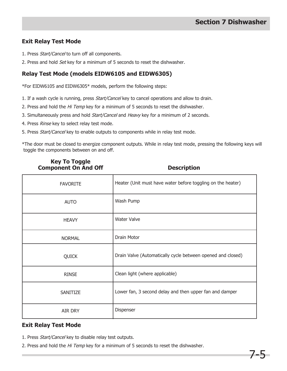### **Exit Relay Test Mode**

- 1. Press Start/Cancel to turn off all components.
- 2. Press and hold Set key for a minimum of 5 seconds to reset the dishwasher.

#### **Relay Test Mode (models EIDW6105 and EIDW6305)**

\*For EIDW6105 and EIDW6305\* models, perform the following steps:

- 1. If a wash cycle is running, press *Start/Cancel* key to cancel operations and allow to drain.
- 2. Press and hold the Hi Temp key for a minimum of 5 seconds to reset the dishwasher.
- 3. Simultaneously press and hold Start/Cancel and Heavy key for a minimum of 2 seconds.
- 4. Press Rinse key to select relay test mode.
- 5. Press Start/Cancel key to enable outputs to components while in relay test mode.

\*The door must be closed to energize component outputs. While in relay test mode, pressing the following keys will toggle the components between on and off.

| <b>Key To Toggle</b>        |  |  |
|-----------------------------|--|--|
| <b>Component On And Off</b> |  |  |

**Description**

| <b>FAVORITE</b> | Heater (Unit must have water before toggling on the heater) |
|-----------------|-------------------------------------------------------------|
| <b>AUTO</b>     | Wash Pump                                                   |
| <b>HEAVY</b>    | <b>Water Valve</b>                                          |
| <b>NORMAL</b>   | Drain Motor                                                 |
| <b>QUICK</b>    | Drain Valve (Automatically cycle between opened and closed) |
| <b>RINSE</b>    | Clean light (where applicable)                              |
| SANITIZE        | Lower fan, 3 second delay and then upper fan and damper     |
| <b>AIR DRY</b>  | Dispenser                                                   |

#### **Exit Relay Test Mode**

- 1. Press Start/Cancel key to disable relay test outputs.
- 2. Press and hold the Hi Temp key for a minimum of 5 seconds to reset the dishwasher.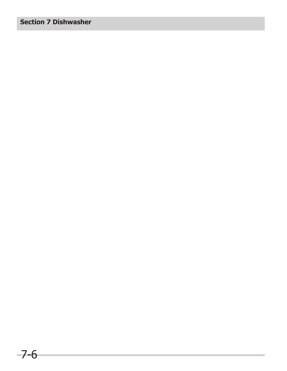# **Section 7 Dishwasher**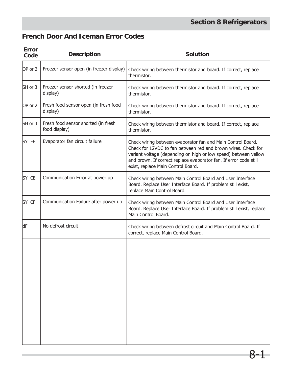### **French Door And Iceman Error Codes**

| <b>Error</b><br>Code | <b>Description</b>                                   | <b>Solution</b>                                                                                                                                                                                                                                                                                            |
|----------------------|------------------------------------------------------|------------------------------------------------------------------------------------------------------------------------------------------------------------------------------------------------------------------------------------------------------------------------------------------------------------|
| OP or 2              | Freezer sensor open (in freezer display)             | Check wiring between thermistor and board. If correct, replace<br>thermistor.                                                                                                                                                                                                                              |
| SH or 3              | Freezer sensor shorted (in freezer<br>display)       | Check wiring between thermistor and board. If correct, replace<br>thermistor.                                                                                                                                                                                                                              |
| OP or 2              | Fresh food sensor open (in fresh food<br>display)    | Check wiring between thermistor and board. If correct, replace<br>thermistor.                                                                                                                                                                                                                              |
| SH or 3              | Fresh food sensor shorted (in fresh<br>food display) | Check wiring between thermistor and board. If correct, replace<br>thermistor.                                                                                                                                                                                                                              |
| SY EF                | Evaporator fan circuit failure                       | Check wiring between evaporator fan and Main Control Board.<br>Check for 12VDC to fan between red and brown wires. Check for<br>variant voltage (depending on high or low speed) between yellow<br>and brown. If correct replace evaporator fan. If error code still<br>exist, replace Main Control Board. |
| SY CE                | Communication Error at power up                      | Check wiring between Main Control Board and User Interface<br>Board. Replace User Interface Board. If problem still exist,<br>replace Main Control Board.                                                                                                                                                  |
| SY CF                | Communication Failure after power up                 | Check wiring between Main Control Board and User Interface<br>Board. Replace User Interface Board. If problem still exist, replace<br>Main Control Board.                                                                                                                                                  |
| dF                   | No defrost circuit                                   | Check wiring between defrost circuit and Main Control Board. If<br>correct, replace Main Control Board.                                                                                                                                                                                                    |
|                      |                                                      |                                                                                                                                                                                                                                                                                                            |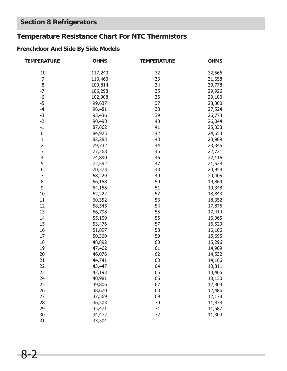### **Temperature Resistance Chart For NTC Thermistors**

### **Frenchdoor And Side By Side Models**

| <u>TEMPERATURE</u>       | <b>OHMS</b> | <b>TEMPERATURE</b> | <b>OHMS</b> |
|--------------------------|-------------|--------------------|-------------|
| $-10$                    | 117,240     | 32                 | 32,566      |
| -9                       | 113,460     | 33                 | 31,658      |
| -8                       | 109,814     | 34                 | 30,778      |
| $-7$                     | 106,298     | 35                 | 29,926      |
| $-6$                     | 102,908     | 36                 | 29,100      |
| $-5$                     | 99,637      | 37                 | 28,300      |
| $-4$                     | 96,481      | 38                 | 27,524      |
| $-3$                     | 93,436      | 39                 | 26,773      |
| $-2$                     | 90,498      | 40                 | 26,044      |
| $-1$                     | 87,662      | 41                 | 25,338      |
| $\pmb{0}$                | 84,925      | 42                 | 24,653      |
| $\mathbf 1$              | 82,283      | 43                 | 23,989      |
| $\overline{c}$           | 79,732      | 44                 | 23,346      |
| 3                        | 77,268      | 45                 | 22,721      |
| $\overline{\mathcal{A}}$ | 74,890      | 46                 | 22,116      |
| 5                        | 72,592      | 47                 | 21,528      |
| $\overline{6}$           | 70,373      | 48                 | 20,958      |
| $\overline{7}$           | 68,229      | 49                 | 20,405      |
| 8                        | 66,158      | 50                 | 19,869      |
| 9                        | 64,156      | 51                 | 19,348      |
| 10                       | 62,222      | 52                 | 18,843      |
| 11                       | 60,352      | 53                 | 18,352      |
| 12                       | 58,545      | 54                 | 17,876      |
| 13                       | 56,798      | 55                 | 17,414      |
| 14                       | 55,109      | 56                 | 16,965      |
| 15                       | 53,476      | 57                 | 16,529      |
| 16                       | 51,897      | 58                 | 16,106      |
| 17                       | 50,369      | 59                 | 15,695      |
| 18                       | 48,892      | 60                 | 15,296      |
| 19                       | 47,462      | 61                 | 14,909      |
| 20                       | 46,076      | 62                 | 14,532      |
| 21                       | 44,741      | 63                 | 14,166      |
| 22                       | 43,447      | 64                 | 13,811      |
| 23                       | 42,193      | 65                 | 13,465      |
| 24                       | 40,981      | 66                 | 13,130      |
| 25                       | 39,806      | 67                 | 12,803      |
| 26                       | 38,670      | 68                 | 12,486      |
| 27                       | 37,569      | 69                 | 12,178      |
| 28                       | 36,503      | 70                 | 11,878      |
| 29                       | 35,471      | 71                 | 11,587      |
| 30                       | 34,472      | 72                 | 11,304      |
| 31                       | 33,504      |                    |             |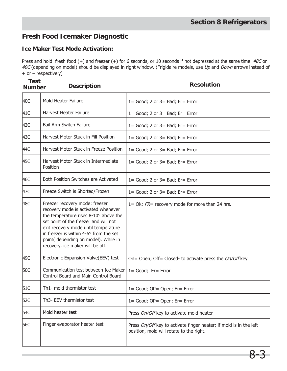### **Fresh Food Icemaker Diagnostic**

#### **Ice Maker Test Mode Activation:**

Press and hold fresh food  $(+)$  and freezer  $(+)$  for 6 seconds, or 10 seconds if not depressed at the same time. 48C or 40C (depending on model) should be displayed in right window. (Frigidaire models, use Up and Down arrows instead of + or – respectively)

#### Mold Heater Failure Harvest Heater Failure Bail Arm Switch Failure Harvest Motor Stuck in Fill Position Harvest Motor Stuck in Freeze Position Harvest Motor Stuck in Intermediate Position Both Position Switches are Activated Freeze Switch is Shorted/Frozen Freezer recovery mode: freezer recovery mode is activated whenever the temperature rises 8-10° above the set point of the freezer and will not exit recovery mode until temperature in freezer is within 4-6° from the set point( depending on model). While in recovery, ice maker will be off. Electronic Expansion Valve(EEV) test Communication test between Ice Maker Control Board and Main Control Board Th1- mold thermistor test Th3- EEV thermistor test Mold heater test Finger evaporator heater test 1= Good; 2 or 3= Bad; Er= Error 1= Good; 2 or 3= Bad; Er= Error  $1=$  Good; 2 or  $3=$  Bad; Er= Error  $1=$  Good; 2 or  $3=$  Bad; Er= Error  $1=$  Good; 2 or  $3=$  Bad; Er= Error  $1=$  Good; 2 or  $3=$  Bad; Er= Error  $1=$  Good; 2 or  $3=$  Bad; Er= Error 1= Good; 2 or 3= Bad; Er= Error 1= Ok;  $FR$  recovery mode for more than 24 hrs. On= Open; Off= Closed- to activate press the On/Off key 1= Good; Er= Error 1= Good; OP= Open; Er= Error 1= Good; OP= Open; Er= Error Press On/Off key to activate mold heater Press On/Off key to activate finger heater; if mold is in the left position, mold will rotate to the right.  $40C$ 41C 42C 43C 44C 45C 46C 47C 48C 49C 50C 51C 52C 54C 56C **Test Number Description Resolution**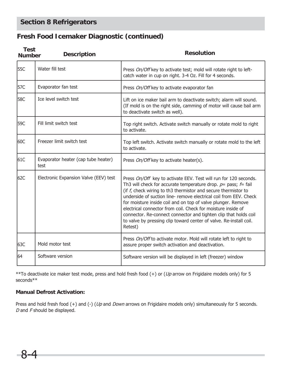### **Fresh Food Icemaker Diagnostic (continued)**

| <b>Test</b><br><b>Number</b> | <b>Description</b>                          | <b>Resolution</b>                                                                                                                                                                                                                                                                                                                                                                                                                                                                                                                                                     |
|------------------------------|---------------------------------------------|-----------------------------------------------------------------------------------------------------------------------------------------------------------------------------------------------------------------------------------------------------------------------------------------------------------------------------------------------------------------------------------------------------------------------------------------------------------------------------------------------------------------------------------------------------------------------|
| 55C                          | Water fill test                             | Press On/Off key to activate test; mold will rotate right to left-<br>catch water in cup on right. 3-4 Oz. Fill for 4 seconds.                                                                                                                                                                                                                                                                                                                                                                                                                                        |
| 57C                          | Evaporator fan test                         | Press On/Off key to activate evaporator fan                                                                                                                                                                                                                                                                                                                                                                                                                                                                                                                           |
| 58C                          | Ice level switch test                       | Lift on ice maker bail arm to deactivate switch; alarm will sound.<br>(If mold is on the right side, camming of motor will cause bail arm<br>to deactivate switch as well).                                                                                                                                                                                                                                                                                                                                                                                           |
| 59C                          | Fill limit switch test                      | Top right switch. Activate switch manually or rotate mold to right<br>to activate.                                                                                                                                                                                                                                                                                                                                                                                                                                                                                    |
| 60C                          | Freezer limit switch test                   | Top left switch. Activate switch manually or rotate mold to the left<br>to activate.                                                                                                                                                                                                                                                                                                                                                                                                                                                                                  |
| 61C                          | Evaporator heater (cap tube heater)<br>test | Press On/Off key to activate heater(s).                                                                                                                                                                                                                                                                                                                                                                                                                                                                                                                               |
| 62C                          | Electronic Expansion Valve (EEV) test       | Press On/Off key to activate EEV. Test will run for 120 seconds.<br>Th3 will check for accurate temperature drop. $p=$ pass; $f=$ fail<br>(if $f$ , check wiring to th3 thermistor and secure thermistor to<br>underside of suction line- remove electrical coil from EEV. Check<br>for moisture inside coil and on top of valve plunger. Remove<br>electrical connector from coil. Check for moisture inside of<br>connector. Re-connect connector and tighten clip that holds coil<br>to valve by pressing clip toward center of valve. Re-install coil.<br>Retest) |
| 63C                          | Mold motor test                             | Press On/Off to activate motor. Mold will rotate left to right to<br>assure proper switch activation and deactivation.                                                                                                                                                                                                                                                                                                                                                                                                                                                |
| 64                           | Software version                            | Software version will be displayed in left (freezer) window                                                                                                                                                                                                                                                                                                                                                                                                                                                                                                           |

\*\*To deactivate ice maker test mode, press and hold fresh food  $(+)$  or  $(Up\,$  arrow on Frigidaire models only) for 5 seconds\*\*

#### **Manual Defrost Activation:**

8-4

Press and hold fresh food  $(+)$  and  $(-)$  (Up and Down arrows on Frigidaire models only) simultaneously for 5 seconds. D and F should be displayed.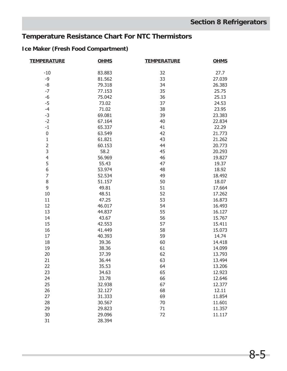### **Temperature Resistance Chart For NTC Thermistors**

### **Ice Maker (Fresh Food Compartment)**

| <b>TEMPERATURE</b>       | <b>OHMS</b> | <b>TEMPERATURE</b> | <b>OHMS</b> |
|--------------------------|-------------|--------------------|-------------|
| $-10$                    | 83.883      | 32                 | 27.7        |
| $-9$                     | 81.562      | 33                 | 27.039      |
| $-8$                     | 79.318      | 34                 | 26.383      |
| $-7$                     | 77.153      | 35                 | 25.75       |
| $-6$                     | 75.042      | 36                 | 25.13       |
| $-5$                     | 73.02       | 37                 | 24.53       |
| $-4$                     | 71.02       | 38                 | 23.95       |
| $-3$                     | 69.081      | 39                 | 23.383      |
| $-2$                     | 67.164      | 40                 | 22.834      |
| $^{\rm -1}$              | 65.337      | 41                 | 22.29       |
| $\boldsymbol{0}$         | 63.549      | 42                 | 21.773      |
| $\mathbf 1$              | 61.821      | 43                 | 21.262      |
| $\overline{2}$           | 60.153      | 44                 | 20.773      |
| 3                        | 58.2        | 45                 | 20.293      |
| $\overline{\mathcal{L}}$ | 56.969      | 46                 | 19.827      |
| 5                        | 55.43       | 47                 | 19.37       |
| 6                        | 53.974      | 48                 | 18.92       |
| $\overline{7}$           | 52.534      | 49                 | 18.492      |
| $\, 8$                   | 51.157      | 50                 | 18.07       |
| 9                        | 49.81       | 51                 | 17.664      |
| 10                       | 48.51       | 52                 | 17.262      |
| 11                       | 47.25       | 53                 | 16.873      |
| 12                       | 46.017      | 54                 | 16.493      |
| 13                       | 44.837      | 55                 | 16.127      |
| 14                       | 43.67       | 56                 | 15.767      |
| 15                       | 42.553      | 57                 | 15.411      |
| 16                       | 41.449      | 58                 | 15.073      |
| 17                       | 40.393      | 59                 | 14.74       |
| 18                       | 39.36       | 60                 | 14.418      |
| 19                       | 38.36       | 61                 | 14.099      |
| 20                       | 37.39       | 62                 | 13.793      |
| 21                       | 36.44       | 63                 | 13.494      |
| 22                       | 35.53       | 64                 | 13.206      |
| 23                       | 34.63       | 65                 | 12.923      |
| 24                       | 33.78       | 66                 | 12.646      |
| 25                       | 32.938      | 67                 | 12.377      |
| 26                       | 32.127      | 68                 | 12.11       |
| 27                       | 31.333      | 69                 | 11.854      |
| 28                       | 30.567      | 70                 | 11.601      |
| 29                       | 29.823      | 71                 | 11.357      |
| 30                       | 29.096      | 72                 | 11.117      |
| 31                       | 28.394      |                    |             |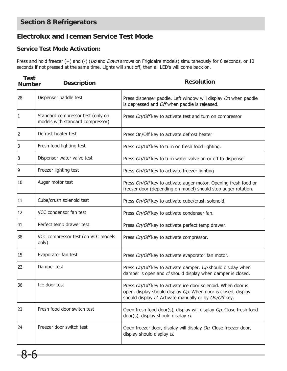### **Section 8 Refrigerators**

### **Electrolux and Iceman Service Test Mode**

#### **Service Test Mode Activation:**

Press and hold freezer (+) and (-) (Up and Down arrows on Frigidaire models) simultaneously for 6 seconds, or 10 seconds if not pressed at the same time. Lights will shut off, then all LED's will come back on.

| <b>Test</b>   |                    |                   |
|---------------|--------------------|-------------------|
| <b>Number</b> | <b>Description</b> | <b>Resolution</b> |

| 28 | Dispenser paddle test                                                 | Press dispenser paddle. Left window will display On when paddle<br>is depressed and Off when paddle is released.                                                                        |
|----|-----------------------------------------------------------------------|-----------------------------------------------------------------------------------------------------------------------------------------------------------------------------------------|
| 1  | Standard compressor test (only on<br>models with standard compressor) | Press On/Off key to activate test and turn on compressor                                                                                                                                |
| 2  | Defrost heater test                                                   | Press On/Off key to activate defrost heater                                                                                                                                             |
| 3  | Fresh food lighting test                                              | Press On/Off key to turn on fresh food lighting.                                                                                                                                        |
| 8  | Dispenser water valve test                                            | Press On/Off key to turn water valve on or off to dispenser                                                                                                                             |
| 9  | Freezer lighting test                                                 | Press On/Off key to activate freezer lighting                                                                                                                                           |
| 10 | Auger motor test                                                      | Press On/Off key to activate auger motor. Opening fresh food or<br>freezer door (depending on model) should stop auger rotation.                                                        |
| 11 | Cube/crush solenoid test                                              | Press On/Off key to activate cube/crush solenoid.                                                                                                                                       |
| 12 | VCC condensor fan test                                                | Press On/Off key to activate condenser fan.                                                                                                                                             |
| 41 | Perfect temp drawer test                                              | Press On/Off key to activate perfect temp drawer.                                                                                                                                       |
| 38 | VCC compressor test (on VCC models<br>only)                           | Press On/Off key to activate compressor.                                                                                                                                                |
| 15 | Evaporator fan test                                                   | Press On/Off key to activate evaporator fan motor.                                                                                                                                      |
| 22 | Damper test                                                           | Press On/Off key to activate damper. Op should display when<br>damper is open and c/ should display when damper is closed.                                                              |
| 36 | Ice door test                                                         | Press On/Off key to activate ice door solenoid. When door is<br>open, display should display Op. When door is closed, display<br>should display cl. Activate manually or by On/Off key. |
| 23 | Fresh food door switch test                                           | Open fresh food door(s), display will display Op. Close fresh food<br>door(s), display should display cl.                                                                               |
| 24 | Freezer door switch test                                              | Open freezer door, display will display Op. Close freezer door,<br>display should display cl.                                                                                           |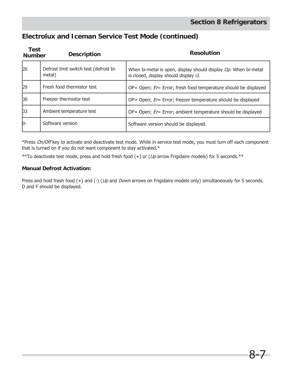### **Electrolux and Iceman Service Test Mode (continued)**

| <b>Test</b><br><b>Number</b> | <b>Description</b>                               | <b>Resolution</b>                                                                                           |
|------------------------------|--------------------------------------------------|-------------------------------------------------------------------------------------------------------------|
| 26                           | Defrost limit switch test (defrost bi-<br>metal) | When bi-metal is open, display should display $Op$ . When bi-metal<br>is closed, display should display cl. |
| 29                           | Fresh food thermistor test                       | OP= Open; $Er=$ Error; fresh food temperature should be displayed                                           |
| 30                           | Freezer thermistor test                          | OP= Open; $Er=$ Error; freezer temperature should be displayed                                              |
| 33                           | Ambient temperature test                         | OP= Open; $Er=$ Error; ambient temperature should be displayed                                              |
| $10-$                        | Software version                                 | Software version should be displayed.                                                                       |

\*Press On/Off key to activate and deactivate test mode. While in service test mode, you must turn off each component that is turned on if you do not want component to stay activated.\*

\*\*To deactivate test mode, press and hold fresh food  $(+)$  or  $(Up\,arrow\,Frigidaire\,models)$  for 5 seconds.\*\*

#### **Manual Defrost Activation:**

Press and hold fresh food  $(+)$  and  $(-)$  (Up and Down arrows on Frigidaire models only) simultaneously for 5 seconds. D and F should be displayed.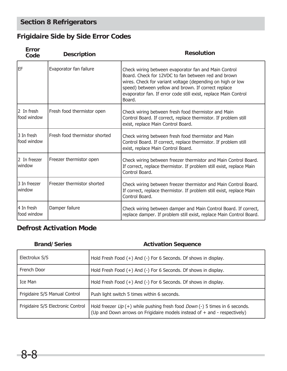# **Section 8 Refrigerators**

# **Frigidaire Side by Side Error Codes**

| <b>Error</b><br>Code       | <b>Description</b>            | <b>Resolution</b>                                                                                                                                                                                                                                                                                             |
|----------------------------|-------------------------------|---------------------------------------------------------------------------------------------------------------------------------------------------------------------------------------------------------------------------------------------------------------------------------------------------------------|
| lef                        | Evaporator fan failure        | Check wiring between evaporator fan and Main Control<br>Board, Check for 12VDC to fan between red and brown<br>wires. Check for variant voltage (depending on high or low<br>speed) between yellow and brown. If correct replace<br>evaporator fan. If error code still exist, replace Main Control<br>Board. |
| 2 In fresh<br>food window  | Fresh food thermistor open    | Check wiring between fresh food thermistor and Main<br>Control Board. If correct, replace thermistor. If problem still<br>exist, replace Main Control Board.                                                                                                                                                  |
| 3 In fresh<br>lfood window | Fresh food thermistor shorted | Check wiring between fresh food thermistor and Main<br>Control Board. If correct, replace thermistor. If problem still<br>exist, replace Main Control Board.                                                                                                                                                  |
| 12 In freezer<br>Iwindow   | Freezer thermistor open       | Check wiring between freezer thermistor and Main Control Board.<br>If correct, replace thermistor. If problem still exist, replace Main<br>Control Board.                                                                                                                                                     |
| 3 In freezer<br>lwindow    | Freezer thermistor shorted    | Check wiring between freezer thermistor and Main Control Board.<br>If correct, replace thermistor. If problem still exist, replace Main<br>Control Board.                                                                                                                                                     |
| 4 In fresh<br>food window  | Damper failure                | Check wiring between damper and Main Control Board. If correct,<br>replace damper. If problem still exist, replace Main Control Board.                                                                                                                                                                        |

### **Defrost Activation Mode**

| <b>Brand/Series</b>               | <b>Activation Sequence</b>                                                                                                                                          |  |
|-----------------------------------|---------------------------------------------------------------------------------------------------------------------------------------------------------------------|--|
| Electrolux S/S                    | Hold Fresh Food (+) And (-) For 6 Seconds. Df shows in display.                                                                                                     |  |
| French Door                       | Hold Fresh Food (+) And (-) For 6 Seconds. Df shows in display.                                                                                                     |  |
| <b>Ice Man</b>                    | Hold Fresh Food (+) And (-) For 6 Seconds. Df shows in display.                                                                                                     |  |
| Frigidaire S/S Manual Control     | Push light switch 5 times within 6 seconds.                                                                                                                         |  |
| Frigidaire S/S Electronic Control | Hold freezer $Up (+)$ while pushing fresh food <i>Down</i> $(-)$ 5 times in 6 seconds.<br>(Up and Down arrows on Frigidaire models instead of + and - respectively) |  |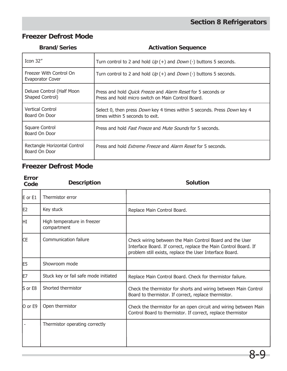### **Freezer Defrost Mode**

| <b>Brand/Series</b>                                | <b>Activation Sequence</b>                                                                                                       |
|----------------------------------------------------|----------------------------------------------------------------------------------------------------------------------------------|
| Icon $32''$                                        | Turn control to 2 and hold $Up (+)$ and $Down (-)$ buttons 5 seconds.                                                            |
| Freezer With Control On<br><b>Evaporator Cover</b> | Turn control to 2 and hold $Up (+)$ and <i>Down</i> $(-)$ buttons 5 seconds.                                                     |
| Deluxe Control (Half Moon<br>Shaped Control)       | Press and hold <i>Quick Freeze</i> and <i>Alarm Reset</i> for 5 seconds or<br>Press and hold micro switch on Main Control Board. |
| <b>Vertical Control</b><br>Board On Door           | Select 0, then press Down key 4 times within 5 seconds. Press Down key 4<br>times within 5 seconds to exit.                      |
| Square Control<br>Board On Door                    | Press and hold <i>Fast Freeze</i> and <i>Mute Sounds</i> for 5 seconds.                                                          |
| Rectangle Horizontal Control<br>Board On Door      | Press and hold <i>Extreme Freeze</i> and <i>Alarm Reset</i> for 5 seconds.                                                       |

### **Freezer Defrost Mode**

# **Error**

Thermistor error Key stuck High temperature in freezer compartment Communication failure Showroom mode Stuck key or fail safe mode initiated Shorted thermistor Open thermistor Thermistor operating correctly Replace Main Control Board. Check wiring between the Main Control Board and the User Interface Board. If correct, replace the Main Control Board. If problem still exists, replace the User Interface Board. Replace Main Control Board. Check for thermistor failure. Check the thermistor for shorts and wiring between Main Control Board to thermistor. If correct, replace thermistor. Check the thermistor for an open circuit and wiring between Main Control Board to thermistor. If correct, replace thermistor E or E1 E2 HI CE E5 E7 S or E8 O or E9 - **Code Description Solution**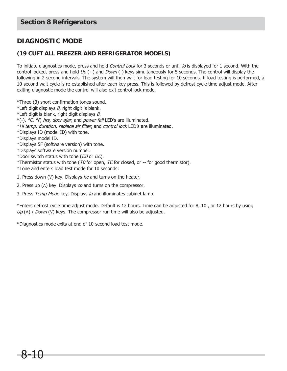### **DIAGNOSTIC MODE**

#### **(19 CUFT ALL FREEZER AND REFRIGERATOR MODELS)**

To initiate diagnostics mode, press and hold Control Lock for 3 seconds or until lo is displayed for 1 second. With the control locked, press and hold  $Up (+)$  and  $Down (-)$  keys simultaneously for 5 seconds. The control will display the following in 2-second intervals. The system will then wait for load testing for 10 seconds. If load testing is performed, a 10-second wait cycle is re-established after each key press. This is followed by defrost cycle time adjust mode. After exiting diagnostic mode the control will also exit control lock mode.

\*Three (3) short confirmation tones sound.

\*Left digit displays  $8$ , right digit is blank.

\*Left digit is blank, right digit displays  $8$ .

 $*(-)$ ,  $°C$ ,  $°F$ , hrs, door ajar, and power fail LED's are illuminated.

\*Hi temp, duration, replace air filter, and control lock LED's are illuminated.

\*Displays ID (model ID) with tone.

\*Displays model ID.

\*Displays 5F (software version) with tone.

\*Displays software version number.

\*Door switch status with tone (D0 or DC).

\*Thermistor status with tone ( $\overline{70}$  for open,  $\overline{7C}$  for closed, or -- for good thermistor).

\*Tone and enters load test mode for 10 seconds:

1. Press down (V) key. Displays he and turns on the heater.

2. Press up  $(\wedge)$  key. Displays cp and turns on the compressor.

3. Press Temp Mode key. Displays la and illuminates cabinet lamp.

\*Enters defrost cycle time adjust mode. Default is 12 hours. Time can be adjusted for 8, 10 , or 12 hours by using  $Up(N)$  / Down (V) keys. The compressor run time will also be adjusted.

\*Diagnostics mode exits at end of 10-second load test mode.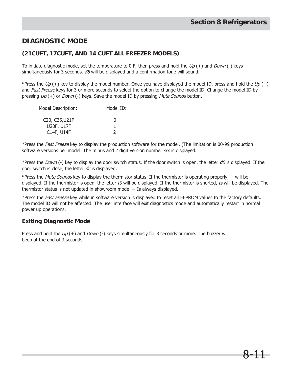8-11

### **DIAGNOSTIC MODE**

#### **(21CUFT, 17CUFT, AND 14 CUFT ALL FREEZER MODELS)**

To initiate diagnostic mode, set the temperature to 0 F, then press and hold the  $Up (+)$  and  $Down (-)$  keys simultaneously for 3 seconds.  $88$  will be displayed and a confirmation tone will sound.

\*Press the  $Up (+)$  key to display the model number. Once you have displayed the model ID, press and hold the  $Up (+)$ and Fast Freeze keys for 3 or more seconds to select the option to change the model ID. Change the model ID by pressing  $Up (+)$  or *Down*  $(-)$  keys. Save the model ID by pressing *Mute Sounds* button.

| <b>Model Description:</b>                             | Model ID:    |
|-------------------------------------------------------|--------------|
|                                                       |              |
| C <sub>20</sub> , C <sub>25</sub> , U <sub>21</sub> F | $\mathbf{0}$ |
| <b>U20F, U17F</b>                                     |              |
| C14F, U14F                                            |              |

\*Press the Fast Freeze key to display the production software for the model. (The limitation is 00-99 production software versions per model. The minus and 2 digit version number -xx is displayed.

\*Press the *Down* (-) key to display the door switch status. If the door switch is open, the letter d0 is displayed. If the door switch is close, the letter dc is displayed.

\*Press the *Mute Sounds* key to display the thermistor status. If the thermistor is operating properly, -- will be displayed. If the thermistor is open, the letter  $t0$  will be displayed. If the thermistor is shorted,  $ts$  will be displayed. The thermistor status is not updated in showroom mode. -- Is always displayed.

\*Press the Fast Freeze key while in software version is displayed to reset all EEPROM values to the factory defaults. The model ID will not be affected. The user interface will exit diagnostics mode and automatically restart in normal power up operations.

#### **Exiting Diagnostic Mode**

Press and hold the  $Up (+)$  and  $Down (-)$  keys simultaneously for 3 seconds or more. The buzzer will beep at the end of 3 seconds.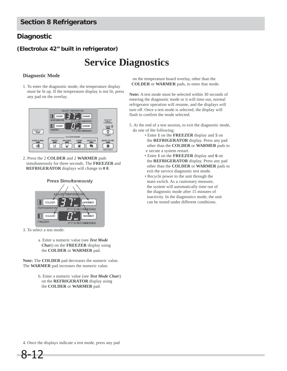### **Section 8 Refrigerators**

### **Diagnostic**

#### **(Electrolux 42" built in refrigerator)**

# **Service Diagnostics**

#### **Diagnostic Mode**

1. To enter the diagnostic mode, the temperature display must be lit up. If the temperature display is not lit, press any pad on the overlay.



2. Press the 2 **COLDER** and 2 **WARMER** pads simultaneously for three seconds. The **FREEZER** and  **REFRIGERATOR** displays will change to **0 0**.



3. To select a test mode:

a. Enter a numeric value (see *Test Mode Char*t) on the **FREEZER** display using the **COLDER** or **WARMER** pad.

**Note:** The **COLDER** pad decreases the numeric value. The **WARMER** pad increases the numeric value.

> b. Enter a numeric value (see *Test Mode Char*t) on the **REFRIGERATOR** display using the **COLDER** or **WARMER** pad.

 on the temperature board overlay, other than the  **COLDER** or **WARMER** pads, to enter that mode.

**Note:** A test mode must be selected within 30 seconds of entering the diagnostic mode or it will time out, normal refrigerator operation will resume, and the displays will turn off. Once a test mode is selected, the display will flash to confirm the mode selected.

5. At the end of a test session, to exit the diagnostic mode, do one of the following:

- Enter **1** on the **FREEZER** display and **5** on the **REFRIGERATOR** display. Press any pad other than the **COLDER** or **WARMER** pads to e xecute a system restart.
- Enter **1** on the **FREEZER** display and **6** on the **REFRIGERATOR** display. Press any pad other than the **COLDER** or **WARMER** pads to exit the service diagnostic test mode.
- Recycle power to the unit through the main switch. As a cautionary measure, the system will automatically time out of the diagnostic mode after 15 minutes of inactivity. In the diagnostics mode, the unit can be tested under different conditions.

4. Once the displays indicate a test mode, press any pad

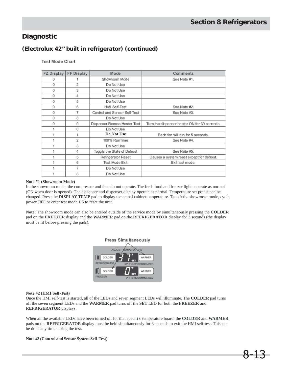### **Diagnostic**

#### **(Electrolux 42" built in refrigerator) (continued)**

#### **Test Mode Chart**

| <b>FZ Display</b> | FF Display     | Mode                         | Comments                                     |
|-------------------|----------------|------------------------------|----------------------------------------------|
| 0                 |                | Showroom Mode                | See Note #1.                                 |
| $\Omega$          | 2              | Do Not Use                   |                                              |
| $\Omega$          | 3              | Do Not Use                   |                                              |
| $\bf{0}$          | 4              | Do Not Use                   |                                              |
| $\Omega$          | 5              | Do Not Use                   |                                              |
| 0                 | 6              | HMI Self-Test                | See Note #2.                                 |
| 0                 | 7              | Control and Sensor Self-Test | See Note #3.                                 |
| 0                 | 8              | Do Not Use                   |                                              |
| $\Omega$          | 9              | Dispenser Recess Heater Test | Turn the dispenser heater ON for 30 seconds. |
| 1                 | $\Omega$       | Do Not Use                   |                                              |
| 1                 | 1              | Do Not Use                   | Each fan will run for 5 seconds.             |
| 1                 | $\overline{2}$ | 100% RunTime                 | See Note #4.                                 |
| 1                 | 3              | Do Not Use                   |                                              |
| 1                 | 4              | Toggle the State of Defrost  | See Note #5.                                 |
| 1                 | 5              | Refrigerator Reset           | Causes a system reset except for defrost.    |
| 1                 | 6              | Test Mode Exit               | Exit test mode.                              |
| 1                 | 7              | Do Not Use                   |                                              |
|                   | 8              | Do Not Use                   |                                              |

#### **Note #1 (Showroom Mode)**

In the showroom mode, the compressor and fans do not operate. The fresh food and freezer lights operate as normal (ON when door is opened). The dispenser and dispenser display operate as normal. Temperature set points can be changed. Press the **DISPLAY TEMP** pad to display the actual cabinet temperature. To exit the showroom mode, cycle power OFF or enter test mode **1 5** to reset the unit.

**Note:** The showroom mode can also be entered outside of the service mode by simultaneously pressing the **COLDER** pad on the **FREEZER** display and the **WARMER** pad on the **REFRIGERATOR** display for 3 seconds (the display must be lit before pressing the pads).



#### **Note #2 (HMI Self-Test)**

Once the HMI self-test is started, all of the LEDs and seven segment LEDs will illuminate. The **COLDER** pad turns off the seven segment LEDs and the **WARMER** pad turns off the **SET** LED for both the **FREEZER** and **REFRIGERATOR** displays.

When all the available LEDs have been turned off for that specifi c temperature board, the **COLDER** and **WARMER** pads on the **REFRIGERATOR** display must be held simultaneously for 3 seconds to exit the HMI self-test. This can be done any time during the test.

#### **Note #3 (Control and Sensor System Self-Test)**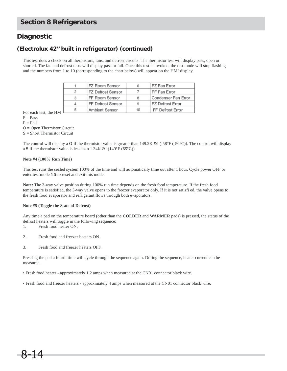### **Section 8 Refrigerators**

### **Diagnostic**

#### **(Electrolux 42" built in refrigerator) (continued)**

This test does a check on all thermistors, fans, and defrost circuits. The thermistor test will display pass, open or shorted. The fan and defrost tests will display pass or fail. Once this test is invoked, the test mode will stop flashing and the numbers from 1 to 10 (corresponding to the chart below) will appear on the HMI display.

|   | FZ Room Sensor           | ь  | FZ Fan Error        |
|---|--------------------------|----|---------------------|
|   | <b>FZ Defrost Sensor</b> |    | FF Fan Error        |
| 3 | FF Room Sensor           |    | Condenser Fan Error |
|   | FF Defrost Sensor        | 9  | FZ Defrost Error    |
| 5 | Ambient Sensor           | 10 | FF Defrost Error    |

For each test, the HM

 $P = Pass$ 

 $F = Fail$ 

O = Open Thermistor Circuit

S = Short Thermistor Circuit

The control will display a **O** if the thermistor value is greater than 149.2K &! (-58°F (-50°C)). The control will display a **S** if the thermistor value is less than 1.34K &! (149°F (65°C)).

#### **Note #4 (100% Run Time)**

This test runs the sealed system 100% of the time and will automatically time out after 1 hour. Cycle power OFF or enter test mode **1 5** to reset and exit this mode.

**Note:** The 3-way valve position during 100% run time depends on the fresh food temperature. If the fresh food temperature is satisfied, the 3-way valve opens to the freezer evaporator only. If it is not satisfi ed, the valve opens to the fresh food evaporator and refrigerant flows through both evaporators.

#### **Note #5 (Toggle the State of Defrost)**

Any time a pad on the temperature board (other than the **COLDER** and **WARMER** pads) is pressed, the status of the defrost heaters will toggle in the following sequence:

1. Fresh food heater ON.

8-14

- 2. Fresh food and freezer heaters ON.
- 3. Fresh food and freezer heaters OFF.

Pressing the pad a fourth time will cycle through the sequence again. During the sequence, heater current can be measured.

• Fresh food heater - approximately 1.2 amps when measured at the CN01 connector black wire.

• Fresh food and freezer heaters - approximately 4 amps when measured at the CN01 connector black wire.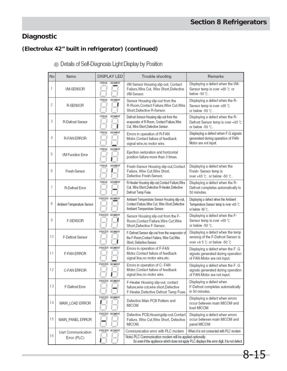8-15

### **Diagnostic**

### **(Electrolux 42" built in refrigerator) (continued)**

| No | Items                      | <b>DISPLAY LED</b>               | Trouble shooting                                                                                                                | Remarks                                                                                                 |
|----|----------------------------|----------------------------------|---------------------------------------------------------------------------------------------------------------------------------|---------------------------------------------------------------------------------------------------------|
| 1  | I/M-SENSOR                 | FRIDGE<br><b>SEGMENT</b>         | I/M Sensor Housing slip-out, Contact<br>Failure, Wire Cut, Wire Short, Defective<br>I/M-Sensor.                                 | Displaying a defect when the I/M-<br>Sensor temp is over +65 °C or<br>below -50 °C.                     |
| 2  | R-SENSOR                   | FRIDGE<br><b>SEGMENT</b>         | Sensor Housing slip-out from the<br>R-Room, Contact Failure, Wire Cut, Wire<br>Short, Defective R-Sensor.                       | Displaying a defect when the R-<br>Sensor temp is over +65 °C<br>or below -50 °C.                       |
| 3  | R-Defrost Sensor           | FRIDGE<br>SEGMENT                | Defrost Sensor Housing slip-out from the<br>evaporator of R-Room, Contact Failure, Wire<br>Cut, Wire Short, Defective Sensor.   | Displaying a defect when the R-<br>Defrost Sensor temp is over +65 °C<br>or below -50 °C.               |
| 4  | <b>R-FAN ERROR</b>         | FRIDGE<br>SEGMENT                | Errors in operation of R-FAN<br>Motor, Contact failure of feedback<br>signal wire, no motor wire.                               | Displaying a defect when F.G signals<br>generated during operation of FAN-<br>Motor are not input.      |
| 5  | I/M Function Error         | FRIDGE<br>SEGMENT                | Ejection restoration and horizontal<br>position failure more than 3 times.                                                      |                                                                                                         |
| 6  | Fresh-Sensor               | FRIDGE<br>SEGMENT                | Fresh-Sensor Housing slip-out, Contact<br>Failure, Wire Cut, Wire Short,<br>Defective Fresh-Sensor.                             | Displaying a defect when the<br>Fresh-Sensor temp is<br>over +65 °C . or below -50 °C.                  |
| 7  | R-Defrost Error            | FRIDGE<br>SEGMENT                | R-Heater Housing slip-out, Contact Failure, Wire<br>Cut, Wire Short, Defective R-Heater, Defective<br>Defrost Temp Fuse.        | Displaying a defect when the R-<br>Defrost completes automatically in<br>50 minutes.                    |
| 8  | Ambient Temperature Sensor | FREEZER<br><b>SEGMENT</b>        | Ambient Temperature Sensor Housing slip-out,<br>Contact Failure, Wire Cut, Wire Short, Defective<br>Ambient Temperature Sensor. | Displaying a defect when the Ambient<br>Temperature Sensor temp is over +65 °C<br>or below -50 °C.      |
| 9  | <b>F-SENSOR</b>            | <b>SEGMENT</b><br>FREEZER        | Sensor Housing slip-out from the F-<br>Room, Contact Failure, Wire Cut, Wire<br>Short, Defective F-Sensor.                      | Displaying a defect when the F-<br>Sensor temp is over +65 °C<br>or below -50 °C.                       |
| 10 | F-Defrost Sensor           | FREEZER SEGMENT                  | F-Defrost Sensor slip-out from the evaporator of<br>the F-Room, Contact Failure, Wire Cut, Wire<br>Short, Defective Sensor.     | Displaying a defect when the temp<br>sensing of the F-Defrost Sensor is<br>over +6 5 °C or below -50 °C |
| 11 | <b>F-FAN ERROR</b>         | FREEZER SEGMENT                  | Errors in operation of F-FAN<br>Motor, Contact failure of feedback<br>signal line,no motor wire,etc.                            | Displaying a defect when the F.G<br>signals generated during operation<br>of FAN-Motor are not input.   |
| 12 | C-FAN ERROR                | <b>SEGMENT</b><br><b>FREEZER</b> | Errors in operation of C-FAN<br>Motor, Contact failure of feedback<br>signal line, no motor wire.                               | Displaying a defect when the F.G<br>signals generated during operation<br>of FAN-Motor are not input.   |
| 13 | F-Defrost Error            | FREEZER SEGMENT                  | F-Heater Housing slip-out, contact<br>failure, wire cut, wire short, Defective<br>F-Heater, Defective Defrost Temp Fuse.        | Displaying a defect when<br>F-Defrost completes automatically<br>in 50 minutes.                         |
| 14 | MAIN LOAD ERROR            | FREEZER SEGMENT                  | Defective Main PCB Pattern and<br>MICOM                                                                                         | Displaying a defect when errors<br>occur between main MICOM and<br>load MICOM                           |
| 15 | MAIN_PANEL ERROR           | FREEZER SEGMENT                  | Defective PCB, Housingslip-out, Contact<br>Failure, Wire Cut, Wire Short, Defective<br>MICOM.                                   | Displaying a defect when errors<br>occur between main MICOM and<br>panel MICOM                          |
|    | Uart Communication         | FREEZER SEGMENT                  | Communication error with PLC modem                                                                                              | When it is not connected with PLC modem                                                                 |
| 16 | Error (PLC)                |                                  | Note) PLC Communication modem will be applied optionally.                                                                       | So even if the appliance which does not apply PLC displays this error digit, It is not defect.          |

### Details of Self-Diagnosis Light Display by Position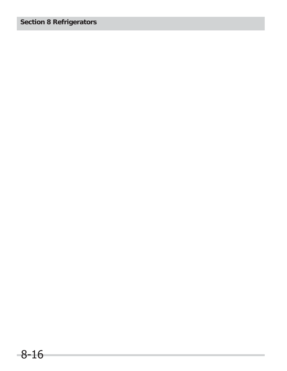# **Section 8 Refrigerators**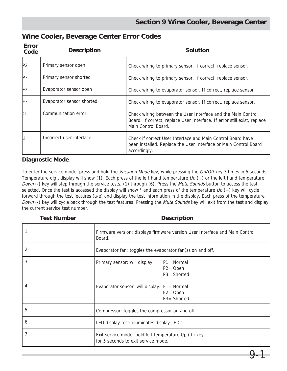$9 - 1$ 

| <b>Error</b><br>Code | <b>Description</b>        | <b>Solution</b>                                                                                                                                                 |  |
|----------------------|---------------------------|-----------------------------------------------------------------------------------------------------------------------------------------------------------------|--|
| P2                   | Primary sensor open       | Check wiring to primary sensor. If correct, replace sensor.                                                                                                     |  |
| P3                   | Primary sensor shorted    | Check wiring to primary sensor. If correct, replace sensor.                                                                                                     |  |
| E <sub>2</sub>       | Evaporator sensor open    | Check wiring to evaporator sensor. If correct, replace sensor                                                                                                   |  |
| E <sub>3</sub>       | Evaporator sensor shorted | Check wiring to evaporator sensor. If correct, replace sensor.                                                                                                  |  |
| ICL                  | Communication error       | Check wiring between the User Interface and the Main Control<br>Board. If correct, replace User Interface. If error still exist, replace<br>Main Control Board. |  |
| luі                  | Incorrect user interface  | Check if correct User Interface and Main Control Board have<br>been installed. Replace the User Interface or Main Control Board<br>accordingly.                 |  |

### **Wine Cooler, Beverage Center Error Codes**

#### **Diagnostic Mode**

To enter the service mode, press and hold the Vacation Mode key, while pressing the On/Off key 3 times in 5 seconds. Temperature digit display will show (1). Each press of the left hand temperature  $Up (+)$  or the left hand temperature Down (-) key will step through the service tests, (1) through (6). Press the Mute Sounds button to access the test selected. Once the test is accessed the display will show  $\degree$  and each press of the temperature Up (+) key will cycle forward through the test features (a-e) and display the test information in the display. Each press of the temperature Down (-) key will cycle back through the test features. Pressing the Mute Sounds key will exit from the test and display the current service test number.

| <b>Test Number</b> | <b>Description</b>                                                                           |  |
|--------------------|----------------------------------------------------------------------------------------------|--|
|                    | Firmware version: displays firmware version User Interface and Main Control<br>Board.        |  |
| 2                  | Evaporator fan: toggles the evaporator fan(s) on and off.                                    |  |
| 3                  | Primary sensor: will display:<br>$P1 = Normal$<br>$P2 = Open$<br>$P3 = Shorted$              |  |
| 4                  | Evaporator sensor: will display: E1= Normal<br>$E2 =$ Open<br>$E3 = Shorted$                 |  |
| 5                  | Compressor: toggles the compressor on and off.                                               |  |
| 6                  | LED display test: illuminates display LED's                                                  |  |
|                    | Exit service mode: hold left temperature Up $(+)$ key<br>for 5 seconds to exit service mode. |  |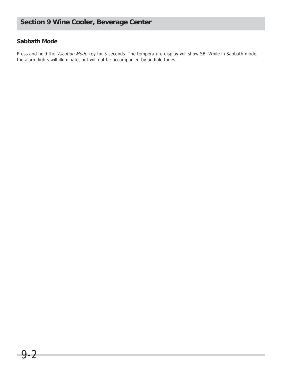#### **Sabbath Mode**

Press and hold the Vacation Mode key for 5 seconds. The temperature display will show SB. While in Sabbath mode, the alarm lights will illuminate, but will not be accompanied by audible tones.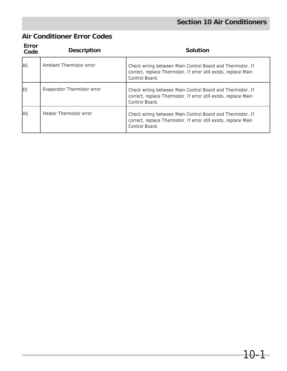## **Air Conditioner Error Codes**

| <b>Error</b><br>Code | <b>Description</b>          | <b>Solution</b>                                                                                                                                  |
|----------------------|-----------------------------|--------------------------------------------------------------------------------------------------------------------------------------------------|
| <b>JAS</b>           | Ambient Thermistor error    | Check wiring between Main Control Board and Thermistor. If<br>correct, replace Thermistor. If error still exists, replace Main<br>Control Board. |
| <b>IES</b>           | Evaporator Thermistor error | Check wiring between Main Control Board and Thermistor. If<br>correct, replace Thermistor. If error still exists, replace Main<br>Control Board. |
| <b>IHS</b>           | Heater Thermistor error     | Check wiring between Main Control Board and Thermistor. If<br>correct, replace Thermistor. If error still exists, replace Main<br>Control Board. |